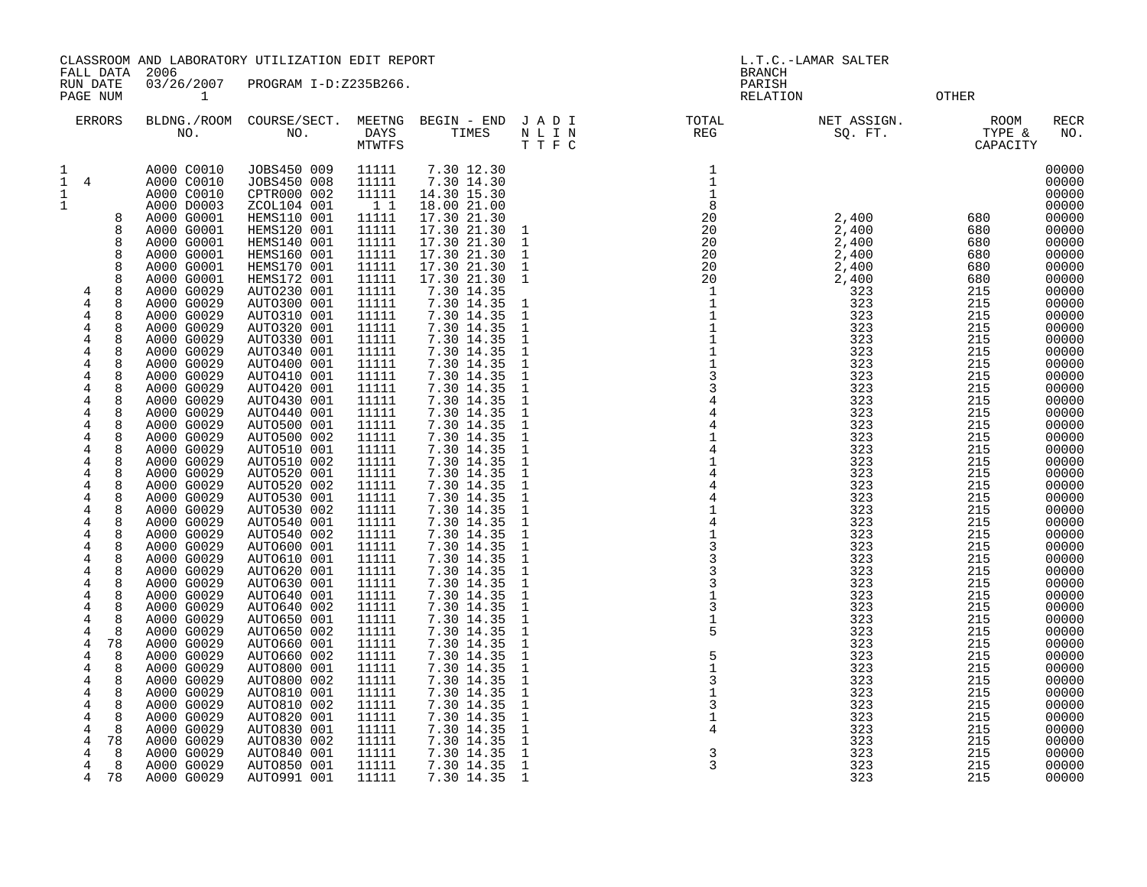| FALL DATA                                                                                                                                                                                                                                                                                                                                                                                                                                                                                                                                          | 2006                                                                                                                                                                                                                                                                                                                                                                                                                                                                                                                                                                                                                                                                                         | CLASSROOM AND LABORATORY UTILIZATION EDIT REPORT                                                                                                                                                                                                                                                                                                                                                                                                                                                                                                                                                                                                                                                                                             |                                                                                                                                                                                                                                                                                                                                                                                                                                                                                  |                                                                                                                                                                                                                                                                                                                                                                                                                                                                                                                                                                                                                                                                                                            | L.T.C.-LAMAR SALTER<br><b>BRANCH</b>                                                                                                                                                                                                                                                                                                                                                                                                                                                                                                                                          |                                                                                                                                                                                                                                                                                                                                                                                                                                                                                                                                                                                        |                                                                                                                                                                                                                                                                                                                              |                                                                                                                                                                                                                                                                                                                  |                                                                                                                                                                                                                                                                                                                                                                                                                                              |
|----------------------------------------------------------------------------------------------------------------------------------------------------------------------------------------------------------------------------------------------------------------------------------------------------------------------------------------------------------------------------------------------------------------------------------------------------------------------------------------------------------------------------------------------------|----------------------------------------------------------------------------------------------------------------------------------------------------------------------------------------------------------------------------------------------------------------------------------------------------------------------------------------------------------------------------------------------------------------------------------------------------------------------------------------------------------------------------------------------------------------------------------------------------------------------------------------------------------------------------------------------|----------------------------------------------------------------------------------------------------------------------------------------------------------------------------------------------------------------------------------------------------------------------------------------------------------------------------------------------------------------------------------------------------------------------------------------------------------------------------------------------------------------------------------------------------------------------------------------------------------------------------------------------------------------------------------------------------------------------------------------------|----------------------------------------------------------------------------------------------------------------------------------------------------------------------------------------------------------------------------------------------------------------------------------------------------------------------------------------------------------------------------------------------------------------------------------------------------------------------------------|------------------------------------------------------------------------------------------------------------------------------------------------------------------------------------------------------------------------------------------------------------------------------------------------------------------------------------------------------------------------------------------------------------------------------------------------------------------------------------------------------------------------------------------------------------------------------------------------------------------------------------------------------------------------------------------------------------|-------------------------------------------------------------------------------------------------------------------------------------------------------------------------------------------------------------------------------------------------------------------------------------------------------------------------------------------------------------------------------------------------------------------------------------------------------------------------------------------------------------------------------------------------------------------------------|----------------------------------------------------------------------------------------------------------------------------------------------------------------------------------------------------------------------------------------------------------------------------------------------------------------------------------------------------------------------------------------------------------------------------------------------------------------------------------------------------------------------------------------------------------------------------------------|------------------------------------------------------------------------------------------------------------------------------------------------------------------------------------------------------------------------------------------------------------------------------------------------------------------------------|------------------------------------------------------------------------------------------------------------------------------------------------------------------------------------------------------------------------------------------------------------------------------------------------------------------|----------------------------------------------------------------------------------------------------------------------------------------------------------------------------------------------------------------------------------------------------------------------------------------------------------------------------------------------------------------------------------------------------------------------------------------------|
| RUN DATE<br>PAGE NUM                                                                                                                                                                                                                                                                                                                                                                                                                                                                                                                               | 03/26/2007<br>1                                                                                                                                                                                                                                                                                                                                                                                                                                                                                                                                                                                                                                                                              | PROGRAM I-D:Z235B266.                                                                                                                                                                                                                                                                                                                                                                                                                                                                                                                                                                                                                                                                                                                        |                                                                                                                                                                                                                                                                                                                                                                                                                                                                                  |                                                                                                                                                                                                                                                                                                                                                                                                                                                                                                                                                                                                                                                                                                            |                                                                                                                                                                                                                                                                                                                                                                                                                                                                                                                                                                               | PARISH                                                                                                                                                                                                                                                                                                                                                                                                                                                                                                                                                                                 | RELATION                                                                                                                                                                                                                                                                                                                     | <b>OTHER</b>                                                                                                                                                                                                                                                                                                     |                                                                                                                                                                                                                                                                                                                                                                                                                                              |
| <b>ERRORS</b>                                                                                                                                                                                                                                                                                                                                                                                                                                                                                                                                      |                                                                                                                                                                                                                                                                                                                                                                                                                                                                                                                                                                                                                                                                                              |                                                                                                                                                                                                                                                                                                                                                                                                                                                                                                                                                                                                                                                                                                                                              | <b>MTWTFS</b>                                                                                                                                                                                                                                                                                                                                                                                                                                                                    |                                                                                                                                                                                                                                                                                                                                                                                                                                                                                                                                                                                                                                                                                                            | BLDNG./ROOM COURSE/SECT. MEETNG BEGIN – END J A D I TOTAL NO. NO. DAYS TIMES N L I N REG<br>T T F C                                                                                                                                                                                                                                                                                                                                                                                                                                                                           |                                                                                                                                                                                                                                                                                                                                                                                                                                                                                                                                                                                        | NET ASSIGN.<br>SQ. FT.                                                                                                                                                                                                                                                                                                       | ROOM<br>KUUM<br>TYPE &<br>CAPACT<br>CAPACITY                                                                                                                                                                                                                                                                     | <b>RECR</b><br>NO.                                                                                                                                                                                                                                                                                                                                                                                                                           |
| 1<br>$1\quad 4$<br>$\mathbf{1}$<br>$\mathbf{1}$<br>8<br>8<br>8<br>$\mathsf{R}$<br>8<br>8<br>8<br>4<br>$\overline{4}$<br>8<br>4<br>8<br>4<br>8<br>4<br>8<br>4<br>8<br>4<br>8<br>$\overline{4}$<br>8<br>4<br>8<br>4<br>8<br>8<br>4<br>8<br>4<br>4<br>8<br>4<br>8<br>$\overline{4}$<br>8<br>4<br>8<br>$\overline{4}$<br>8<br>4<br>8<br>4<br>8<br>4<br>8<br>4<br>8<br>$\overline{4}$<br>8<br>4<br>8<br>4<br>8<br>4<br>8<br>4<br>4<br>8<br>4<br>8<br>4<br>8<br>4<br>78<br>8<br>4<br>8<br>4<br>4<br>8<br>4<br>8<br>4<br>8<br>4<br>8<br>4<br>8<br>78<br>4 | A000 C0010<br>A000 C0010<br>A000 C0010<br>A000 D0003<br>A000 G0001<br>A000 G0001<br>A000 G0001<br>A000 G0001<br>A000 G0001<br>A000 G0001<br>A000 G0029<br>A000 G0029<br>A000 G0029<br>A000 G0029<br>A000 G0029<br>A000 G0029<br>A000 G0029<br>A000 G0029<br>A000 G0029<br>A000 G0029<br>A000 G0029<br>A000 G0029<br>A000 G0029<br>A000 G0029<br>A000 G0029<br>A000 G0029<br>A000 G0029<br>A000 G0029<br>A000 G0029<br>A000 G0029<br>A000 G0029<br>A000 G0029<br>A000 G0029<br>A000 G0029<br>A000 G0029<br>A000 G0029<br>A000 G0029<br>A000 G0029<br>A000 G0029<br>A000 G0029<br>A000 G0029<br>A000 G0029<br>A000 G0029<br>A000 G0029<br>A000 G0029<br>A000 G0029<br>A000 G0029<br>A000 G0029 | JOBS450 009<br>JOBS450 008<br>CPTR000 002<br>ZCOL104 001<br>HEMS110 001<br>HEMS120 001<br>HEMS140 001<br>HEMS160 001<br>HEMS170 001<br>HEMS172 001<br>AUTO230 001<br>AUTO300 001<br>AUTO310 001<br>AUTO320 001<br>AUTO330 001<br>AUTO340 001<br>AUTO400 001<br>AUTO410 001<br>AUTO420 001<br>AUTO430 001<br>AUTO440 001<br>AUTO500 001<br>AUTO500 002<br>AUTO510 001<br>AUTO510 002<br>AUTO520 001<br>AUTO520 002<br>AUTO530 001<br>AUTO530 002<br>AUTO540 001<br>AUTO540 002<br>AUTO600 001<br>AUTO610 001<br>AUTO620 001<br>AUTO630 001<br>AUTO640 001<br>AUTO640 002<br>AUTO650 001<br>AUTO650 002<br>AUTO660 001<br>AUTO660 002<br>AUTO800 001<br>AUTO800 002<br>AUTO810 001<br>AUTO810 002<br>AUTO820 001<br>AUTO830 001<br>AUTO830 002 | 11111<br>11111<br>11111<br>$1\quad1$<br>11111<br>11111<br>11111<br>11111<br>11111<br>11111<br>11111<br>11111<br>11111<br>11111<br>11111<br>11111<br>11111<br>11111<br>11111<br>11111<br>11111<br>11111<br>11111<br>11111<br>11111<br>11111<br>11111<br>11111<br>11111<br>11111<br>11111<br>11111<br>11111<br>11111<br>11111<br>11111<br>11111<br>11111<br>11111<br>11111<br>11111<br>11111<br>11111<br>11111<br>11111<br>$\begin{array}{c} 111111 \\ 11111 \end{array}$<br>11111 | 7.30 12.30<br>7.30 14.30<br>14.30 15.30<br>18.00 21.00<br>17.30 21.30<br>17.30 21.30 1<br>17.30 21.30 1<br>17.30 21.30<br>17.30 21.30<br>17.30 21.30 1<br>7.30 14.35<br>7.30 14.35<br>7.30 14.35<br>7.30 14.35<br>7.30 14.35<br>7.30 14.35<br>7.30 14.35<br>7.30 14.35<br>7.30 14.35<br>7.30 14.35<br>7.30 14.35<br>7.30 14.35<br>7.30 14.35<br>7.30 14.35<br>7.30 14.35<br>7.30 14.35<br>7.30 14.35<br>7.30 14.35<br>7.30 14.35<br>7.30 14.35<br>7.30 14.35<br>7.30 14.35<br>7.30 14.35<br>7.30 14.35<br>7.30 14.35<br>7.30 14.35<br>7.30 14.35<br>7.30 14.35<br>7.30 14.35<br>7.30 14.35<br>7.30 14.35<br>7.30 14.35<br>7.30 14.35<br>7.30 14.35<br>7.30 14.35<br>7.30 14.35<br>7.30 14.35<br>7.30 14.35 | $\overline{1}$<br>$\mathbf{1}$<br>$\mathbf{1}$<br>$\mathbf{1}$<br><sup>1</sup><br>$\mathbf{1}$<br>$\mathbf{1}$<br>$\mathbf{1}$<br>$\mathbf{1}$<br>$\mathbf{1}$<br>-1<br>$\mathbf{1}$<br>$\mathbf{1}$<br>$\mathbf{1}$<br>$\mathbf{1}$<br>1<br>1<br>$\mathbf{1}$<br>$\mathbf{1}$<br>$\mathbf{1}$<br>$\mathbf{1}$<br>1<br>$\mathbf{1}$<br>$\mathbf{1}$<br>$\mathbf{1}$<br><sup>1</sup><br>$\mathbf{1}$<br>$\mathbf{1}$<br>$\mathbf{1}$<br>$\mathbf{1}$<br>$\mathbf{1}$<br>1<br>$\mathbf{1}$<br>$\mathbf{1}$<br>$\mathbf{1}$<br>1<br>$\mathbf{1}$<br>$\mathbf{1}$<br>$\mathbf{1}$ | $\mathbf{1}$<br>$\mathbf{1}$<br>$\mathbf{1}$<br>8<br>$\begin{array}{r} 20 \\ 20 \\ 20 \\ 20 \\ 20 \\ 20 \\ 1 \end{array}$<br>$\mathbf{1}$<br>$\mathbf{1}$<br>$\mathbf{1}$<br>$\mathbf{1}$<br>$\overline{1}$<br>$1$<br>$\begin{array}{c} 3 \\ 3 \\ 4 \end{array}$<br>$\mathbf{1}$<br>$\frac{1}{4}$<br>$\,4$<br>$\mathbf 1$<br>$\begin{array}{c} 4 \\ 1 \end{array}$<br>$\begin{array}{c} 3 \\ 3 \\ 3 \end{array}$<br>$\overline{3}$<br>$1\,$<br>$\overline{3}$<br>$1\,$<br>5<br>5<br>$\overline{1}$<br>$\mathsf 3$<br>$\overline{1}$<br>$\overline{3}$<br>$\mathbf 1$<br>$\overline{4}$ | 2,400<br>2,400<br>2,400<br>2,400<br>2,400<br>2,400<br>323<br>323<br>323<br>323<br>323<br>323<br>323<br>323<br>323<br>323<br>323<br>323<br>323<br>323<br>323<br>323<br>323<br>323<br>323<br>323<br>323<br>323<br>323<br>323<br>323<br>323<br>323<br>323<br>323<br>323<br>323<br>323<br>323<br>323<br>323<br>323<br>323<br>323 | 680<br>680<br>680<br>680<br>680<br>680<br>215<br>215<br>215<br>215<br>215<br>215<br>215<br>215<br>215<br>215<br>215<br>215<br>215<br>215<br>215<br>215<br>215<br>215<br>215<br>215<br>215<br>215<br>215<br>215<br>215<br>215<br>215<br>215<br>215<br>215<br>215<br>215<br>215<br>215<br>215<br>215<br>215<br>215 | 00000<br>00000<br>00000<br>00000<br>00000<br>00000<br>00000<br>00000<br>00000<br>00000<br>00000<br>00000<br>00000<br>00000<br>00000<br>00000<br>00000<br>00000<br>00000<br>00000<br>00000<br>00000<br>00000<br>00000<br>00000<br>00000<br>00000<br>00000<br>00000<br>00000<br>00000<br>00000<br>00000<br>00000<br>00000<br>00000<br>00000<br>00000<br>00000<br>00000<br>00000<br>00000<br>00000<br>00000<br>00000<br>00000<br>00000<br>00000 |
| 4<br>8                                                                                                                                                                                                                                                                                                                                                                                                                                                                                                                                             | A000 G0029                                                                                                                                                                                                                                                                                                                                                                                                                                                                                                                                                                                                                                                                                   | AUTO840 001                                                                                                                                                                                                                                                                                                                                                                                                                                                                                                                                                                                                                                                                                                                                  | 11111                                                                                                                                                                                                                                                                                                                                                                                                                                                                            | 7.30 14.35 1                                                                                                                                                                                                                                                                                                                                                                                                                                                                                                                                                                                                                                                                                               |                                                                                                                                                                                                                                                                                                                                                                                                                                                                                                                                                                               | 3                                                                                                                                                                                                                                                                                                                                                                                                                                                                                                                                                                                      | 323                                                                                                                                                                                                                                                                                                                          | 215                                                                                                                                                                                                                                                                                                              | 00000                                                                                                                                                                                                                                                                                                                                                                                                                                        |

4 8 A000 G0029 AUTO850 001 11111 7.30 14.35 1 3 323 215 00000 4 78 A000 G0029 AUTO991 001 11111 7.30 14.35 1 323 215 00000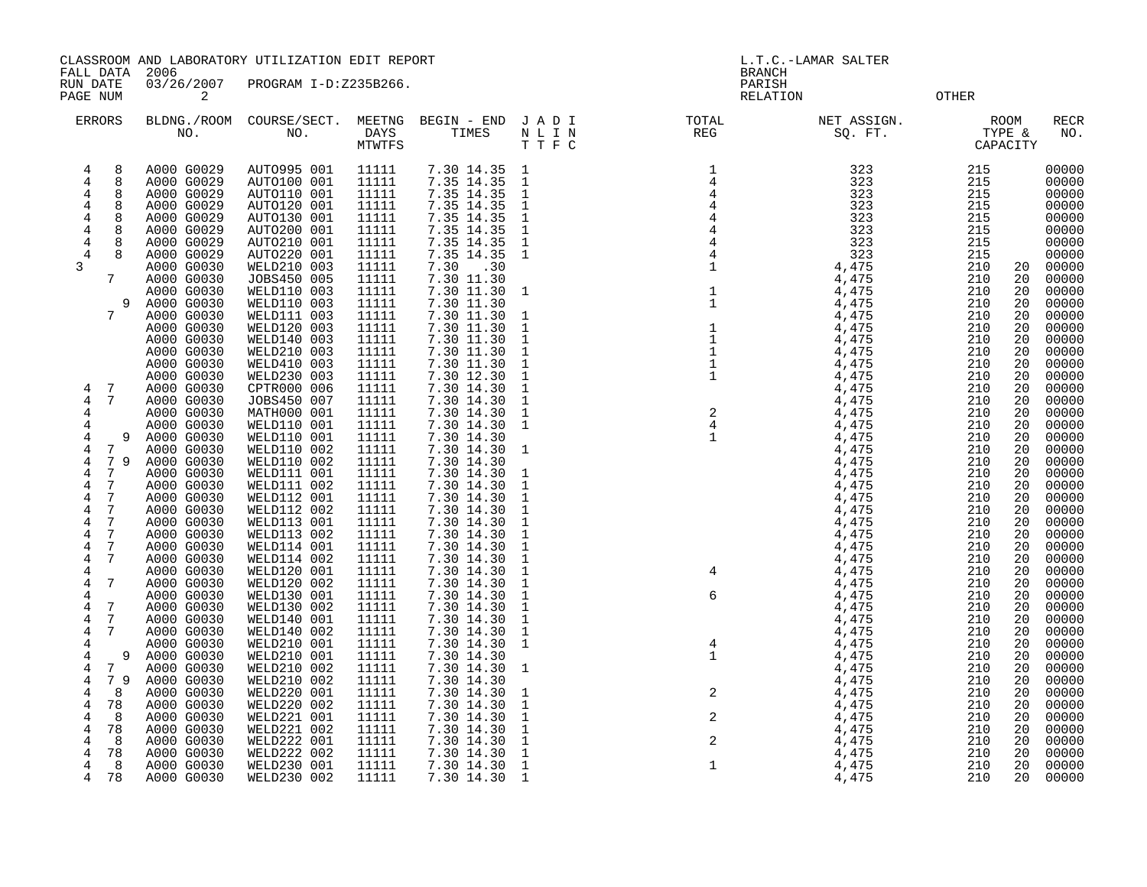CLASSROOM AND LABORATORY UTILIZATION EDIT REPORT SERVICES AND REPORT THE L.T.C.-LAMAR SALTER

 FALL DATA 2006 BRANCH RUN DATE 03/26/2007 PROGRAM I-D:Z235B266. PARISH PAGE NUM 2 CONTROL 2 CONTROL CONTROL CONTROL CONTROL CONTROL CONTROL CONTROL CONTROL CONTROL CONTROL CONTROL CONTROL CONTROL CONTROL CONTROL CONTROL CONTROL CONTROL CONTROL CONTROL CONTROL CONTROL CONTROL CONTROL CONTROL C

| ERRORS                    | BLDNG./ROOM<br>NO.       | COURSE/SECT.<br>NO.        | MEETNG<br>DAYS<br>MTWTFS | BEGIN - END<br>TIMES     | JADI<br>N L I N<br>TTFC      | TOTAL<br>$\mathbb{REG}$                         | NET ASSIGN.<br>SQ. FT. | ROOM<br>TYPE &<br>CAPACITY | RECR<br>NO.    |
|---------------------------|--------------------------|----------------------------|--------------------------|--------------------------|------------------------------|-------------------------------------------------|------------------------|----------------------------|----------------|
| 8<br>4                    | A000 G0029               | AUTO995 001                | 11111                    | 7.30 14.35               | $\mathbf{1}$                 |                                                 | 323                    | 215                        | 00000          |
| 8<br>4                    | A000 G0029               | AUTO100 001                | 11111                    | 7.35 14.35               | $\mathbf{1}$                 |                                                 | 323                    | 215                        | 00000          |
| $\overline{4}$<br>8       | A000 G0029               | AUTO110 001                | 11111                    | 7.35 14.35               | $\mathbf{1}$                 |                                                 | 323                    | 215                        | 00000          |
| 8<br>4                    | A000 G0029               | AUTO120 001                | 11111                    | 7.35 14.35               | $\mathbf{1}$                 |                                                 | 323                    | 215                        | 00000          |
| 8<br>4                    | A000 G0029               | AUTO130 001                | 11111                    | 7.35 14.35               | $\mathbf{1}$                 | $\frac{1}{4}$<br>$\frac{4}{4}$<br>$\frac{4}{4}$ | 323                    | 215                        | 00000          |
| 4<br>8                    | A000 G0029               | AUTO200 001                | 11111                    | 7.35 14.35               | $\mathbf{1}$                 |                                                 | 323                    | 215                        | 00000          |
| 4                         | A000 G0029               | AUTO210 001                | 11111                    | 7.35 14.35               | $\mathbf{1}$                 | $\,4$                                           | 323                    | 215                        | 00000          |
| 8<br>4                    | A000 G0029               | AUTO220 001                | 11111                    | 7.35 14.35               | $\overline{1}$               | $\,4$                                           | 323                    | 215                        | 00000          |
| 3                         | A000 G0030               | WELD210 003                | 11111                    | 7.30<br>.30              |                              | $\mathbf{1}$                                    | 4,475                  | 210                        | 00000<br>20    |
| 7                         | A000 G0030               | JOBS450 005                | 11111                    | 7.30 11.30               |                              |                                                 | 4,475                  | 210                        | 00000<br>20    |
|                           | A000 G0030               | WELD110 003                | 11111                    | 7.30 11.30               | $\mathbf{1}$                 | $\frac{1}{1}$                                   | 4,475                  | 210                        | 00000<br>20    |
| 9                         | A000 G0030               | WELD110 003                | 11111                    | 7.30 11.30               |                              |                                                 | 4,475                  | 210<br>20                  | 00000          |
| 7                         | A000 G0030               | WELD111 003                | 11111                    | 7.30 11.30               | 1                            |                                                 | 4,475                  | 210<br>20                  | 00000          |
|                           | A000 G0030               | WELD120 003                | 11111                    | 7.30 11.30               | $\mathbf{1}$                 |                                                 | 4,475                  | 210<br>20                  | 00000          |
|                           | A000 G0030               | WELD140 003                | 11111                    | 7.30 11.30               | $\mathbf{1}$                 |                                                 | 4,475                  | 210<br>20                  | 00000          |
|                           | A000 G0030               | WELD210 003                | 11111                    | 7.30 11.30               | $\mathbf{1}$                 | $\begin{array}{c} 1 \\ 1 \\ 1 \\ 1 \end{array}$ | 4,475                  | 210<br>20                  | 00000          |
|                           | A000 G0030               | WELD410 003                | 11111                    | 7.30 11.30               | $\mathbf{1}$                 |                                                 | 4,475                  | 210<br>20                  | 00000          |
|                           | A000 G0030               | WELD230 003                | 11111                    | 7.30 12.30               | $\mathbf{1}$                 | 1<br>$\begin{array}{c}\n2 \\ 4\n\end{array}$    | 4,475                  | 210<br>20                  | 00000          |
| 7<br>4                    | A000 G0030               | CPTR000 006                | 11111                    | 7.30 14.30               | $\mathbf{1}$                 |                                                 | 4,475                  | 210<br>20                  | 00000          |
| 4<br>7                    | A000 G0030               | JOBS450 007                | 11111                    | 7.30 14.30               | $\mathbf{1}$                 |                                                 | 4,475                  | 210<br>20                  | 00000          |
| 4                         | A000 G0030               | MATH000 001                | 11111                    | 7.30 14.30               | $\mathbf{1}$<br>$\mathbf{1}$ |                                                 | 4,475                  | 210<br>20                  | 00000          |
| 4                         | A000 G0030               | WELD110 001                | 11111                    | 7.30 14.30               |                              | $\mathbf 1$                                     | 4,475<br>4,475         | 210<br>20                  | 00000          |
| 4<br>9<br>7               | A000 G0030<br>A000 G0030 | WELD110 001                | 11111<br>11111           | 7.30 14.30               | 1                            |                                                 | 4,475                  | 210<br>20<br>210<br>20     | 00000<br>00000 |
| 4<br>$7\phantom{.0}$<br>9 | A000 G0030               | WELD110 002<br>WELD110 002 | 11111                    | 7.30 14.30<br>7.30 14.30 |                              |                                                 | 4,475                  | 210<br>20                  | 00000          |
| 4<br>4<br>7               | A000 G0030               | WELD111 001                | 11111                    | 7.30 14.30               | 1                            |                                                 | 4,475                  | 210<br>20                  | 00000          |
| 7<br>4                    | A000 G0030               | WELD111 002                | 11111                    | 7.30 14.30               | $\mathbf{1}$                 |                                                 | 4,475                  | 210<br>20                  | 00000          |
| 7<br>4                    | A000 G0030               | WELD112 001                | 11111                    | 7.30 14.30               | $\mathbf{1}$                 |                                                 | 4,475                  | 210<br>20                  | 00000          |
| 7<br>4                    | A000 G0030               | WELD112 002                | 11111                    | 7.30 14.30               | $\mathbf{1}$                 |                                                 | 4,475                  | 210<br>20                  | 00000          |
| 7<br>4                    | A000 G0030               | WELD113 001                | 11111                    | 7.30 14.30               | $\mathbf{1}$                 |                                                 | 4,475                  | 210<br>20                  | 00000          |
| 4<br>7                    | A000 G0030               | WELD113 002                | 11111                    | 7.30 14.30               | $1\,$                        |                                                 | 4,475                  | 210<br>20                  | 00000          |
| 7<br>4                    | A000 G0030               | WELD114 001                | 11111                    | 7.30 14.30               | $\mathbf{1}$                 |                                                 | 4,475                  | 210<br>20                  | 00000          |
| 7<br>4                    | A000 G0030               | WELD114 002                | 11111                    | 7.30 14.30               | $\mathbf{1}$                 |                                                 | 4,475                  | 210                        | 20<br>00000    |
| 4                         | A000 G0030               | WELD120 001                | 11111                    | 7.30 14.30               | $\mathbf{1}$                 | $\overline{4}$                                  | 4,475                  | 210<br>20                  | 00000          |
| 7<br>4                    | A000 G0030               | WELD120 002                | 11111                    | 7.30 14.30               | $\mathbf{1}$                 |                                                 | 4,475                  | 210<br>20                  | 00000          |
| 4                         | A000 G0030               | WELD130 001                | 11111                    | 7.30 14.30               | $\mathbf{1}$                 | 6                                               | 4,475                  | 210<br>20                  | 00000          |
| $7\phantom{.0}$<br>4      | A000 G0030               | WELD130 002                | 11111                    | 7.30 14.30               | $\mathbf{1}$                 |                                                 | 4,475                  | 210<br>20                  | 00000          |
| 4<br>7                    | A000 G0030               | WELD140 001                | 11111                    | 7.30 14.30               | $\mathbf{1}$                 |                                                 | 4,475                  | 210<br>20                  | 00000          |
| 7<br>4                    | A000 G0030               | WELD140 002                | 11111                    | 7.30 14.30               | $\mathbf{1}$                 |                                                 | 4,475                  | 210                        | 00000<br>20    |
| 4                         | A000 G0030               | WELD210 001                | 11111                    | 7.30 14.30               | $\mathbf{1}$                 | $\overline{4}$                                  | 4,475                  | 210<br>20                  | 00000          |
| 4                         | A000 G0030               | WELD210 001                | 11111                    | 7.30 14.30               |                              | $\mathbf{1}$                                    | 4,475                  | 210<br>20                  | 00000          |
| $\overline{7}$<br>4       | A000 G0030               | WELD210 002                | 11111                    | 7.30 14.30               | $\mathbf{1}$                 |                                                 | 4,475                  | 210<br>20                  | 00000          |
| 4<br>79                   | A000 G0030               | WELD210 002                | 11111                    | 7.30 14.30               |                              |                                                 | 4,475                  | 210<br>20                  | 00000          |
| 8<br>4                    | A000 G0030               | WELD220 001                | 11111                    | 7.30 14.30               | $\mathbf{1}$                 | $\sqrt{2}$                                      | 4,475                  | 210<br>20                  | 00000          |
| 78<br>4                   | A000 G0030               | WELD220 002                | 11111                    | 7.30 14.30               | $\mathbf{1}$                 |                                                 | 4,475                  | 210<br>20                  | 00000          |
| 8<br>4<br>78<br>4         | A000 G0030               | WELD221 001<br>WELD221 002 | 11111                    | 7.30 14.30               | $\mathbf{1}$<br>$\mathbf{1}$ | $\sqrt{2}$                                      | 4,475<br>4,475         | 210<br>20<br>210<br>20     | 00000<br>00000 |
| 4<br>8                    | A000 G0030<br>A000 G0030 | WELD222 001                | 11111<br>11111           | 7.30 14.30<br>7.30 14.30 | $\mathbf{1}$                 | $\overline{a}$                                  | 4,475                  | 210                        | 20<br>00000    |
| 78<br>4                   | A000 G0030               | WELD222 002                | 11111                    | 7.30 14.30               | $\mathbf{1}$                 |                                                 | 4,475                  | 210<br>20                  | 00000          |
| 4<br>8                    | A000 G0030               | WELD230 001                | 11111                    | 7.30 14.30               | $\mathbf 1$                  | $\mathbf 1$                                     | 4,475                  | 210                        | 20<br>00000    |
| 4<br>78                   | A000 G0030               | WELD230 002                | 11111                    | 7.30 14.30               | $\overline{1}$               |                                                 | 4,475                  | 210                        | 00000<br>20    |
|                           |                          |                            |                          |                          |                              |                                                 |                        |                            |                |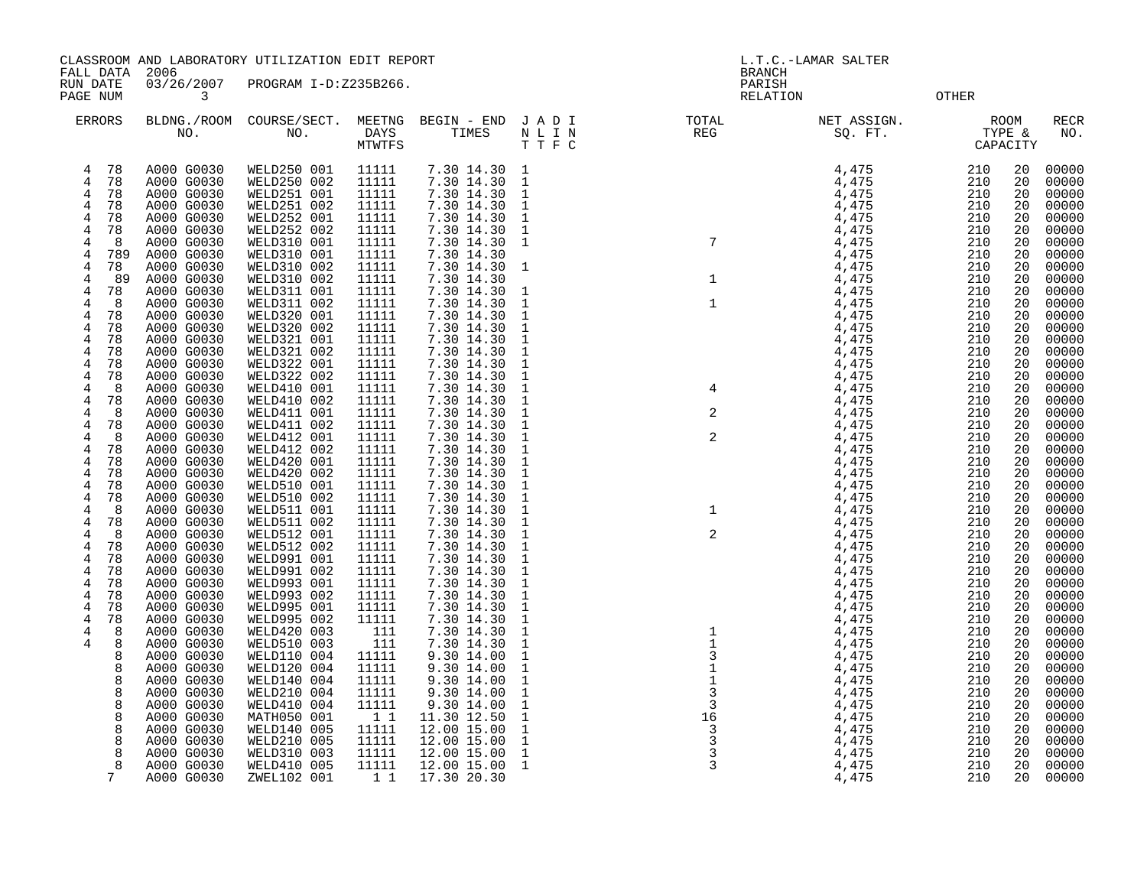CLASSROOM AND LABORATORY UTILIZATION EDIT REPORT AND REPORT THE REPORT OF L.T.C.-LAMAR SALTER

FALL DATA 2006 BRANCH

RUN DATE 03/26/2007 PROGRAM I-D:Z235B266.<br>PAGE NUM 3 0THER PAGE NUM 3 RELATION OTHER

| ERRORS               | BLDNG./ROOM<br>NO.       | COURSE/SECT.<br>NO.        | MEETNG<br>DAYS<br><b>MTWTFS</b> | BEGIN - END<br>TIMES       | JADI<br>$\hbox{N}$ L I $\hbox{N}$<br>T T F C | TOTAL<br><b>REG</b>                     | NET ASSIGN.<br>SQ. FT.        |            | ROOM<br>TYPE &<br>CAPACITY | RECR<br>NO.    |
|----------------------|--------------------------|----------------------------|---------------------------------|----------------------------|----------------------------------------------|-----------------------------------------|-------------------------------|------------|----------------------------|----------------|
| 78<br>4              | A000 G0030               | WELD250 001                | 11111                           | 7.30 14.30 1               |                                              | $\begin{array}{c}\n7\n\end{array}$      | 4,475                         | 210        | 20                         | 00000          |
| 78<br>$\overline{4}$ | A000 G0030               | WELD250 002                | 11111                           | 7.30 14.30                 | $\mathbf{1}$                                 |                                         | 4,475                         | 210        | 20                         | 00000          |
| $\overline{4}$<br>78 | A000 G0030               | WELD251 001                | 11111                           | 7.30 14.30                 | $\mathbf 1$                                  |                                         |                               | 210        | 20                         | 00000          |
| 78<br>4              | A000 G0030               | WELD251 002                | 11111                           | 7.30 14.30                 | $\mathbf{1}$                                 |                                         | $\frac{4}{4}$ , 475<br>4, 475 | 210        | 20                         | 00000          |
| 78<br>4              | A000 G0030               | WELD252 001                | 11111                           | 7.30 14.30                 | $\mathbf{1}$                                 |                                         | 4,475                         | 210        | 20                         | 00000          |
| 4<br>78              | A000 G0030               | WELD252 002                | 11111                           | 7.30 14.30                 | $\mathbf{1}$                                 |                                         |                               | 210        | 20                         | 00000          |
| 8<br>4               | A000 G0030               | WELD310 001                | 11111                           | 7.30 14.30                 | $\overline{1}$                               |                                         | $\frac{4}{4}$ , 475<br>4, 475 | 210        | 20                         | 00000          |
| 789<br>4             | A000 G0030               | WELD310 001                | 11111                           | 7.30 14.30                 |                                              |                                         | 4,475                         | 210        | 20                         | 00000          |
| 78<br>4              | A000 G0030               | WELD310 002                | 11111                           | 7.30 14.30                 | 1                                            |                                         | 4,475                         | 210        | 20                         | 00000          |
| 89<br>$\overline{4}$ | A000 G0030               | WELD310 002                | 11111                           | 7.30 14.30                 |                                              | $1\,$                                   | 4,475                         | 210        | 20                         | 00000          |
| 78<br>4              | A000 G0030               | WELD311 001                | 11111                           | 7.30 14.30                 | $\mathbf{1}$                                 |                                         | $\frac{4}{4}$ , 475<br>4, 475 | 210        | 20                         | 00000          |
| 8<br>4               | A000 G0030               | WELD311 002                | 11111                           | 7.30 14.30                 | $\mathbf{1}$                                 |                                         |                               | 210        | 20                         | 00000          |
| $\overline{4}$<br>78 | A000 G0030               | WELD320 001                | 11111                           | 7.30 14.30                 | $\mathbf{1}$                                 | $\begin{array}{c}\n1 \\ 4\n\end{array}$ | 4,475                         | 210        | 20                         | 00000          |
| $\overline{4}$<br>78 | A000 G0030               | WELD320 002                | 11111                           | 7.30 14.30                 | $\mathbf{1}$                                 |                                         | 4,475                         | 210        | 20                         | 00000          |
| 78<br>4              | A000 G0030               | WELD321 001                | 11111                           | 7.30 14.30                 | $\mathbf{1}$                                 |                                         | 4,475                         | 210        | 20                         | 00000          |
| 78<br>4              | A000 G0030               | WELD321 002                | 11111                           | 7.30 14.30                 | $\mathbf{1}$                                 |                                         | 4,475                         | 210        | 20                         | 00000          |
| 78<br>$\overline{4}$ | A000 G0030               | WELD322 001                | 11111                           | 7.30 14.30                 | $\mathbf{1}$                                 |                                         | 4,475                         | 210        | 20                         | 00000          |
| 4<br>78              | A000 G0030               | WELD322 002                | 11111                           | 7.30 14.30                 | $\mathbf{1}$                                 |                                         | 4,475                         | 210        | 20                         | 00000          |
| 8<br>4               | A000 G0030               | WELD410 001                | 11111                           | 7.30 14.30                 | $\mathbf{1}$                                 |                                         | 4,475                         | 210        | 20                         | 00000          |
| 4<br>78              | A000 G0030               | WELD410 002                | 11111                           | 7.30 14.30                 | $\mathbf 1$                                  |                                         | $\frac{4}{4}$ , 475<br>4, 475 | 210        | 20                         | 00000<br>00000 |
| 4<br>8<br>78         | A000 G0030<br>A000 G0030 | WELD411 001<br>WELD411 002 | 11111<br>11111                  | 7.30 14.30<br>7.30 14.30   | $\mathbf{1}$<br>$\mathbf{1}$                 | $\overline{a}$                          | 4,475                         | 210<br>210 | 20<br>20                   | 00000          |
| 4<br>8               |                          | WELD412 001                | 11111                           |                            |                                              |                                         | 4,475                         |            | 20                         |                |
| 4<br>4<br>78         | A000 G0030<br>A000 G0030 | WELD412 002                | 11111                           | 7.30 14.30                 | $\mathbf{1}$<br>$\mathbf{1}$                 |                                         | 4,475                         | 210<br>210 | 20                         | 00000<br>00000 |
| $\overline{4}$<br>78 | A000 G0030               | WELD420 001                | 11111                           | 7.30 14.30<br>7.30 14.30   | $\mathbf{1}$                                 |                                         |                               | 210        | 20                         | 00000          |
| 78<br>4              | A000 G0030               | WELD420 002                | 11111                           | 7.30 14.30                 | $\mathbf{1}$                                 |                                         | $\frac{4}{4}$ , 475<br>4, 475 | 210        | 20                         | 00000          |
| 78<br>4              | A000 G0030               | WELD510 001                | 11111                           | 7.30 14.30                 | $\mathbf{1}$                                 |                                         | 4,475                         | 210        | 20                         | 00000          |
| 78<br>4              | A000 G0030               | WELD510 002                | 11111                           | 7.30 14.30                 | $\mathbf{1}$                                 |                                         |                               | 210        | 20                         | 00000          |
| 8<br>4               | A000 G0030               | WELD511 001                | 11111                           | 7.30 14.30                 | $\mathbf{1}$                                 |                                         | $\frac{4}{4}$ , 475<br>4, 475 | 210        | 20                         | 00000          |
| 78<br>4              | A000 G0030               | WELD511 002                | 11111                           | 7.30 14.30                 | $\mathbf{1}$                                 |                                         | 4,475                         | 210        | 20                         | 00000          |
| 8<br>4               | A000 G0030               | WELD512 001                | 11111                           | 7.30 14.30                 | $\mathbf{1}$                                 |                                         | $\frac{4}{4}$ , 475<br>4, 475 | 210        | 20                         | 00000          |
| $\overline{4}$<br>78 | A000 G0030               | WELD512 002                | 11111                           | 7.30 14.30                 | $\mathbf{1}$                                 |                                         |                               | 210        | 20                         | 00000          |
| 78<br>4              | A000 G0030               | WELD991 001                | 11111                           | 7.30 14.30                 | $\mathbf{1}$                                 |                                         | 4,475                         | 210        | 20                         | 00000          |
| 78<br>4              | A000 G0030               | WELD991 002                | 11111                           | 7.30 14.30                 | $\mathbf{1}$                                 |                                         | 4,475                         | 210        | 20                         | 00000          |
| 78<br>4              | A000 G0030               | WELD993 001                | 11111                           | $7.30$ 14.30               | $\mathbf{1}$                                 |                                         | 4,475                         | 210        | 20                         | 00000          |
| 4<br>78              | A000 G0030               | WELD993 002                | 11111                           | 7.30 14.30                 | $\mathbf{1}$                                 |                                         | 4,475                         | 210        | 20                         | 00000          |
| 78<br>4              | A000 G0030               | WELD995 001                | 11111                           | 7.30 14.30                 | $\mathbf{1}$                                 |                                         | 4,475                         | 210        | 20                         | 00000          |
| 78<br>4              | A000 G0030               | WELD995 002                | 11111                           | 7.30 14.30                 | $\mathbf{1}$                                 |                                         | 4,475                         | 210        | 20                         | 00000          |
| 8<br>4               | A000 G0030               | WELD420 003                | 111                             | 7.30 14.30                 | $\mathbf{1}$                                 |                                         | 4,475                         | 210        | 20                         | 00000          |
| 4<br>8               | A000 G0030               | WELD510 003                | 111                             | 7.30 14.30                 | $\mathbf{1}$                                 |                                         | 4,475                         | 210        | 20                         | 00000          |
| 8                    | A000 G0030               | WELD110 004                | 11111                           | 9.30 14.00                 | $\mathbf{1}$                                 |                                         | 4,475                         | 210        | 20                         | 00000          |
| 8                    | A000 G0030               | WELD120 004                | 11111                           | 9.30 14.00                 | $\mathbf{1}$                                 | $\frac{1}{1}$                           | 4,475                         | 210        | 20                         | 00000          |
| 8                    | A000 G0030               | WELD140 004                | 11111                           | 9.30 14.00                 | $\mathbf{1}$                                 |                                         | 4,475                         | 210        | 20                         | 00000          |
| 8                    | A000 G0030               | WELD210 004                | 11111                           | 9.30 14.00                 | $\mathbf{1}$                                 | $\mathsf 3$                             | 4,475                         | 210        | 20                         | 00000          |
| 8                    | A000 G0030               | WELD410 004                | 11111                           | 9.30 14.00                 | $\mathbf{1}$                                 | $\overline{3}$                          | 4,475                         | 210        | 20                         | 00000          |
| 8                    | A000 G0030               | MATH050 001                | 11                              | 11.30 12.50                | $\mathbf{1}$                                 | 16                                      | 4,475                         | 210        | 20                         | 00000          |
| 8                    | A000 G0030               | WELD140 005                | 11111                           | 12.00 15.00                | $1\,$                                        | $\overline{3}$                          | 4,475                         | 210        | 20                         | 00000          |
| 8                    | A000 G0030               | WELD210 005                | 11111                           | 12.00 15.00<br>12.00 15.00 | $\frac{1}{1}$                                | $\overline{3}$                          | 4,475<br>4,475                | 210        | 20                         | 00000          |
| 8<br>8               | A000 G0030<br>A000 G0030 | WELD310 003<br>WELD410 005 | 11111<br>11111                  | 12.00 15.00                | $\overline{1}$                               | $\mathbf{3}$<br>$\mathsf 3$             | 4,475                         | 210<br>210 | 20<br>20                   | 00000<br>00000 |
| 7                    | A000 G0030               | ZWEL102 001                | 11                              | 17.30 20.30                |                                              |                                         | 4,475                         | 210        | 20                         | 00000          |
|                      |                          |                            |                                 |                            |                                              |                                         |                               |            |                            |                |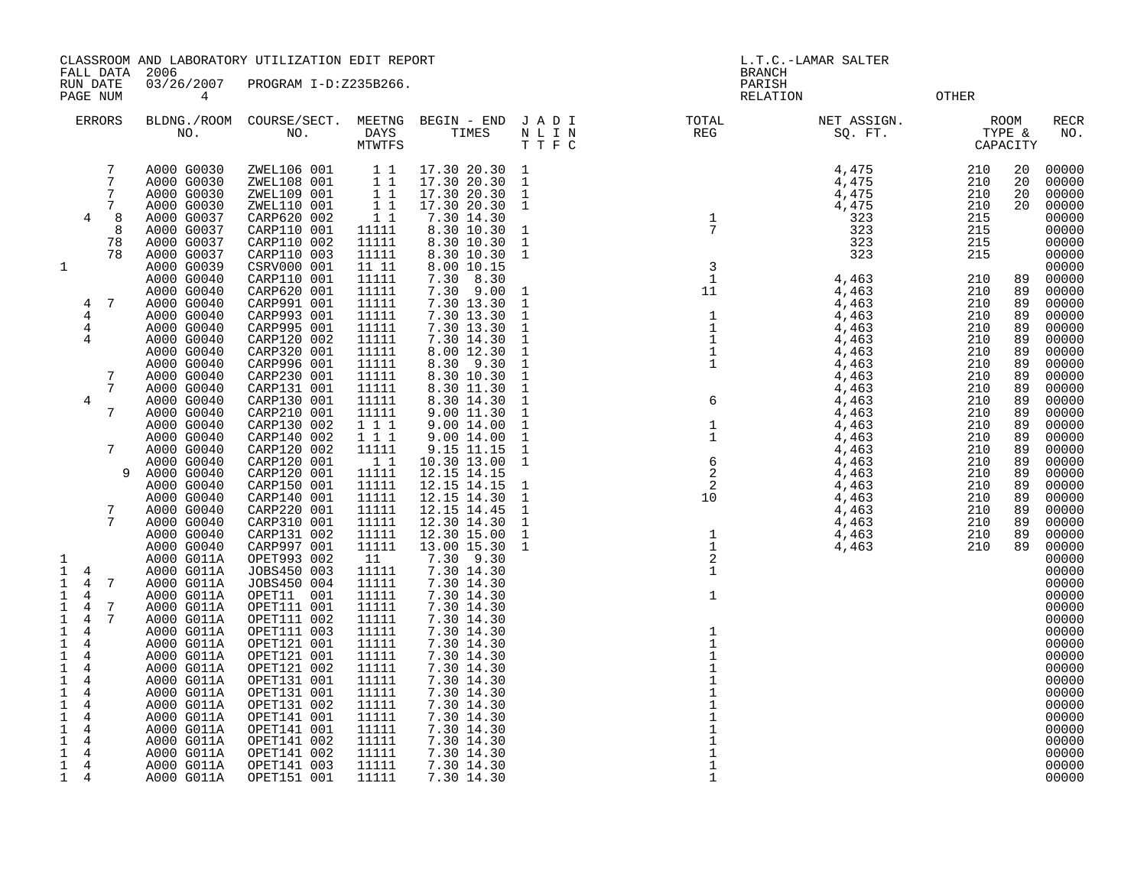|                             |                      |           |                                       | CLASSROOM AND LABORATORY UTILIZATION EDIT REPORT                         |                                                |                             |                              |                   | L.T.C.-LAMAR SALTER                                                                                                                                                                                                                                                                                                                                                                                                                                                                                                                                              |                    |          |                    |
|-----------------------------|----------------------|-----------|---------------------------------------|--------------------------------------------------------------------------|------------------------------------------------|-----------------------------|------------------------------|-------------------|------------------------------------------------------------------------------------------------------------------------------------------------------------------------------------------------------------------------------------------------------------------------------------------------------------------------------------------------------------------------------------------------------------------------------------------------------------------------------------------------------------------------------------------------------------------|--------------------|----------|--------------------|
|                             | RUN DATE<br>PAGE NUM | FALL DATA | 2006<br>03/26/2007<br>$4\overline{ }$ | PROGRAM I-D:Z235B266.                                                    |                                                |                             |                              |                   | <b>BRANCH</b><br>PARISH<br><b>OTHER</b><br>RELATION                                                                                                                                                                                                                                                                                                                                                                                                                                                                                                              |                    |          |                    |
|                             | <b>ERRORS</b>        |           |                                       |                                                                          |                                                |                             |                              |                   | BLDNG./ROOM COURSE/SECT. MEETNG BEGIN – END JADI TOTAL NET ASSIGN.<br>NO. NO. DAYS TIMES NLIN REG SQ.FT.<br>MTWTFS TTFC<br>$\begin{array}{cccccccc} \text{L} & \text{L} & \text{R} & \text{L} & \text{L} & \text{L} \\ \text{L} & \text{R} & \text{R} & \text{R} & \text{R} & \text{R} \\ \text{L} & \text{L} & \text{R} & \text{R} & \text{R} & \text{R} \\ \text{L} & \text{L} & \text{R} & \text{R} & \text{R} & \text{R} \\ \text{L} & \text{L} & \text{R} & \text{R} & \text{R} & \text{R} \\ \text{L} & \text{L} & \text{R} & \text{R} & \text{R} & \text$ | TYPE &<br>CAPACITY | ROOM     | <b>RECR</b><br>NO. |
|                             |                      | 7         | A000 G0030                            |                                                                          |                                                | 17.30 20.30                 | 1                            |                   |                                                                                                                                                                                                                                                                                                                                                                                                                                                                                                                                                                  |                    | 20       | 00000              |
|                             |                      | 7<br>7    | A000 G0030<br>A000 G0030              | ZWEL106 001 1 1<br>ZWEL108 001 1 1<br>ZWEL109 001 1 1<br>ZWEL109 001 1 1 |                                                | 17.30 20.30<br>17.30 20.30  | 1<br>$\mathbf{1}$            |                   |                                                                                                                                                                                                                                                                                                                                                                                                                                                                                                                                                                  |                    | 20<br>20 | 00000<br>00000     |
|                             |                      | 7         | A000 G0030                            | ZWEL110 001                                                              |                                                | 17.30 20.30                 | $\mathbf{1}$                 |                   |                                                                                                                                                                                                                                                                                                                                                                                                                                                                                                                                                                  |                    | 20       | 00000              |
|                             | $\overline{4}$       | - 8       | A000 G0037                            | CARP620 002                                                              | $\begin{array}{rr} 1 & 1 \\ 1 & 1 \end{array}$ | 7.30 14.30                  |                              |                   |                                                                                                                                                                                                                                                                                                                                                                                                                                                                                                                                                                  |                    |          | 00000              |
|                             |                      | 8<br>78   | A000 G0037<br>A000 G0037              | CARP110 001<br>CARP110 002                                               | 11111<br>11111                                 | 8.30 10.30<br>8.30 10.30    | $\mathbf{1}$<br>$\mathbf{1}$ |                   |                                                                                                                                                                                                                                                                                                                                                                                                                                                                                                                                                                  |                    |          | 00000<br>00000     |
|                             |                      | 78        | A000 G0037                            | CARP110 003                                                              | 11111                                          | 8.30 10.30                  | $\mathbf{1}$                 |                   |                                                                                                                                                                                                                                                                                                                                                                                                                                                                                                                                                                  |                    |          | 00000              |
| 1                           |                      |           | A000 G0039                            | CSRV000 001                                                              | 11 11                                          | 8.00 10.15                  |                              |                   |                                                                                                                                                                                                                                                                                                                                                                                                                                                                                                                                                                  |                    |          | 00000              |
|                             |                      |           | A000 G0040                            | CARP110 001                                                              | 11111                                          | 7.30 8.30                   |                              |                   |                                                                                                                                                                                                                                                                                                                                                                                                                                                                                                                                                                  |                    | 89       | 00000              |
|                             | 4                    | -7        | A000 G0040<br>A000 G0040              | CARP620 001<br>CARP991 001                                               | 11111<br>11111                                 | $7.30$ $9.00$<br>7.30 13.30 | $\mathbf{1}$<br>$\mathbf{1}$ |                   |                                                                                                                                                                                                                                                                                                                                                                                                                                                                                                                                                                  |                    | 89<br>89 | 00000<br>00000     |
|                             | 4                    |           | A000 G0040                            | CARP993 001                                                              | 11111                                          | 7.30 13.30                  | $\mathbf{1}$                 |                   |                                                                                                                                                                                                                                                                                                                                                                                                                                                                                                                                                                  |                    | 89       | 00000              |
|                             | 4                    |           | A000 G0040                            | CARP995 001                                                              | 11111                                          | 7.30 13.30                  | $\mathbf{1}$                 |                   |                                                                                                                                                                                                                                                                                                                                                                                                                                                                                                                                                                  |                    | 89       | 00000              |
|                             | 4                    |           | A000 G0040<br>A000 G0040              | CARP120 002<br>CARP320 001                                               | 11111<br>11111                                 | 7.30 14.30<br>8.00 12.30    | $\mathbf{1}$<br>$\mathbf{1}$ |                   |                                                                                                                                                                                                                                                                                                                                                                                                                                                                                                                                                                  |                    | 89<br>89 | 00000<br>00000     |
|                             |                      |           | A000 G0040                            | CARP996 001                                                              | 11111                                          | 8.30 9.30                   | $\mathbf{1}$                 |                   |                                                                                                                                                                                                                                                                                                                                                                                                                                                                                                                                                                  |                    | 89       | 00000              |
|                             |                      | 7         | A000 G0040                            | CARP230 001                                                              | 11111                                          | 8.30 10.30                  | $\mathbf{1}$                 |                   |                                                                                                                                                                                                                                                                                                                                                                                                                                                                                                                                                                  |                    | 89       | 00000              |
|                             | 4                    | 7         | A000 G0040<br>A000 G0040              | CARP131 001<br>CARP130 001                                               | 11111<br>11111                                 | 8.30 11.30<br>8.30 14.30    | $\mathbf{1}$<br>$\mathbf{1}$ |                   |                                                                                                                                                                                                                                                                                                                                                                                                                                                                                                                                                                  |                    | 89<br>89 | 00000<br>00000     |
|                             |                      | 7         | A000 G0040                            | CARP210 001                                                              | 11111                                          | 9.00 11.30                  | $\mathbf{1}$                 |                   |                                                                                                                                                                                                                                                                                                                                                                                                                                                                                                                                                                  |                    | 89       | 00000              |
|                             |                      |           | A000 G0040                            | CARP130 002                                                              | 1 1 1                                          | 9.00 14.00                  | $\mathbf{1}$                 |                   |                                                                                                                                                                                                                                                                                                                                                                                                                                                                                                                                                                  |                    | 89       | 00000              |
|                             |                      | 7         | A000 G0040<br>A000 G0040              | CARP140 002<br>CARP120 002                                               | 1 1 1<br>11111                                 | 9.00 14.00<br>9.15 11.15    | $\mathbf{1}$<br>$\mathbf{1}$ |                   |                                                                                                                                                                                                                                                                                                                                                                                                                                                                                                                                                                  |                    | 89<br>89 | 00000<br>00000     |
|                             |                      |           | A000 G0040                            | CARP120 001                                                              | 11                                             | 10.30 13.00                 | $\mathbf{1}$                 |                   |                                                                                                                                                                                                                                                                                                                                                                                                                                                                                                                                                                  |                    | 89       | 00000              |
|                             |                      | 9         | A000 G0040                            | CARP120 001                                                              | 11111                                          | 12.15 14.15                 |                              |                   |                                                                                                                                                                                                                                                                                                                                                                                                                                                                                                                                                                  |                    | 89       | 00000              |
|                             |                      |           | A000 G0040<br>A000 G0040              | CARP150 001<br>CARP140 001                                               | 11111<br>11111                                 | 12.15 14.15<br>12.15 14.30  | $\mathbf{1}$<br>$\mathbf{1}$ |                   |                                                                                                                                                                                                                                                                                                                                                                                                                                                                                                                                                                  |                    | 89<br>89 | 00000<br>00000     |
|                             |                      | 7         | A000 G0040                            | CARP220 001                                                              | 11111                                          | 12.15 14.45                 | $\mathbf{1}$                 |                   |                                                                                                                                                                                                                                                                                                                                                                                                                                                                                                                                                                  |                    | 89       | 00000              |
|                             |                      | 7         | A000 G0040                            | CARP310 001                                                              | 11111                                          | 12.30 14.30                 | $\mathbf{1}$                 |                   |                                                                                                                                                                                                                                                                                                                                                                                                                                                                                                                                                                  |                    | 89       | 00000              |
|                             |                      |           | A000 G0040                            | CARP131 002                                                              | 11111                                          | 12.30 15.00                 | $\mathbf{1}$                 |                   |                                                                                                                                                                                                                                                                                                                                                                                                                                                                                                                                                                  |                    | 89<br>89 | 00000              |
| 1                           |                      |           | A000 G0040<br>A000 G011A              | CARP997 001<br>OPET993 002                                               | 11111<br>11                                    | 13.00 15.30<br>7.30 9.30    | $\mathbf{1}$                 |                   |                                                                                                                                                                                                                                                                                                                                                                                                                                                                                                                                                                  |                    |          | 00000<br>00000     |
| $\mathbf{1}$                | 4                    |           | A000 G011A                            | JOBS450 003                                                              | 11111                                          | 7.30 14.30                  |                              |                   |                                                                                                                                                                                                                                                                                                                                                                                                                                                                                                                                                                  |                    |          | 00000              |
| $\mathbf{1}$                | 4                    | 7         | A000 G011A                            | JOBS450 004                                                              | 11111                                          | 7.30 14.30                  |                              |                   |                                                                                                                                                                                                                                                                                                                                                                                                                                                                                                                                                                  |                    |          | 00000              |
| 1<br>1                      | 4<br>4               | 7         | A000 G011A<br>A000 G011A              | OPET11 001<br>OPET111 001                                                | 11111<br>11111                                 | 7.30 14.30<br>7.30 14.30    |                              | 1                 |                                                                                                                                                                                                                                                                                                                                                                                                                                                                                                                                                                  |                    |          | 00000<br>00000     |
| $\mathbf 1$                 | $\overline{4}$       | 7         | A000 G011A                            | OPET111 002                                                              | 11111                                          | 7.30 14.30                  |                              |                   |                                                                                                                                                                                                                                                                                                                                                                                                                                                                                                                                                                  |                    |          | 00000              |
| $\mathbf 1$                 | 4                    |           | A000 G011A                            | OPET111 003                                                              | 11111                                          | 7.30 14.30                  |                              | $\mathbf{1}$      |                                                                                                                                                                                                                                                                                                                                                                                                                                                                                                                                                                  |                    |          | 00000              |
| 1<br>$\mathbf 1$            | 4<br>4               |           | A000 G011A<br>A000 G011A              | OPET121 001<br>OPET121 001                                               | 11111<br>11111                                 | 7.30 14.30<br>7.30 14.30    |                              | $\mathbf{1}$<br>1 |                                                                                                                                                                                                                                                                                                                                                                                                                                                                                                                                                                  |                    |          | 00000<br>00000     |
| 1                           | 4                    |           | A000 G011A                            | OPET121 002                                                              | 11111                                          | 7.30 14.30                  |                              | $\mathbf{1}$      |                                                                                                                                                                                                                                                                                                                                                                                                                                                                                                                                                                  |                    |          | 00000              |
| $\mathbf 1$                 | $\overline{4}$       |           | A000 G011A                            | OPET131 001                                                              | 11111                                          | 7.30 14.30                  |                              |                   |                                                                                                                                                                                                                                                                                                                                                                                                                                                                                                                                                                  |                    |          | 00000              |
| $\mathbf{1}$<br>$\mathbf 1$ | 4<br>$\overline{4}$  |           | A000 G011A<br>A000 G011A              | OPET131 001<br>OPET131 002                                               | 11111<br>11111                                 | 7.30 14.30<br>7.30 14.30    |                              |                   |                                                                                                                                                                                                                                                                                                                                                                                                                                                                                                                                                                  |                    |          | 00000<br>00000     |
| $\mathbf{1}$                | 4                    |           | A000 G011A                            | OPET141 001                                                              | 11111                                          | 7.30 14.30                  |                              |                   |                                                                                                                                                                                                                                                                                                                                                                                                                                                                                                                                                                  |                    |          | 00000              |
| $\mathbf{1}$                | 4                    |           | A000 G011A                            | OPET141 001                                                              | 11111                                          | 7.30 14.30                  |                              |                   |                                                                                                                                                                                                                                                                                                                                                                                                                                                                                                                                                                  |                    |          | 00000              |
| 1<br>$\mathbf{1}$           | 4<br>4               |           | A000 G011A<br>A000 G011A              | OPET141 002<br>OPET141 002                                               | 11111                                          | 7.30 14.30<br>7.30 14.30    |                              |                   |                                                                                                                                                                                                                                                                                                                                                                                                                                                                                                                                                                  |                    |          | 00000<br>00000     |
|                             | $1 \quad 4$          |           | A000 G011A                            | OPET141 003                                                              | 11111<br>11111                                 | 7.30 14.30                  |                              | $\mathbf{1}$      |                                                                                                                                                                                                                                                                                                                                                                                                                                                                                                                                                                  |                    |          | 00000              |
| $\mathbf{1}$                | $\overline{4}$       |           | A000 G011A                            | OPET151 001                                                              | 11111                                          | 7.30 14.30                  |                              |                   |                                                                                                                                                                                                                                                                                                                                                                                                                                                                                                                                                                  |                    |          | 00000              |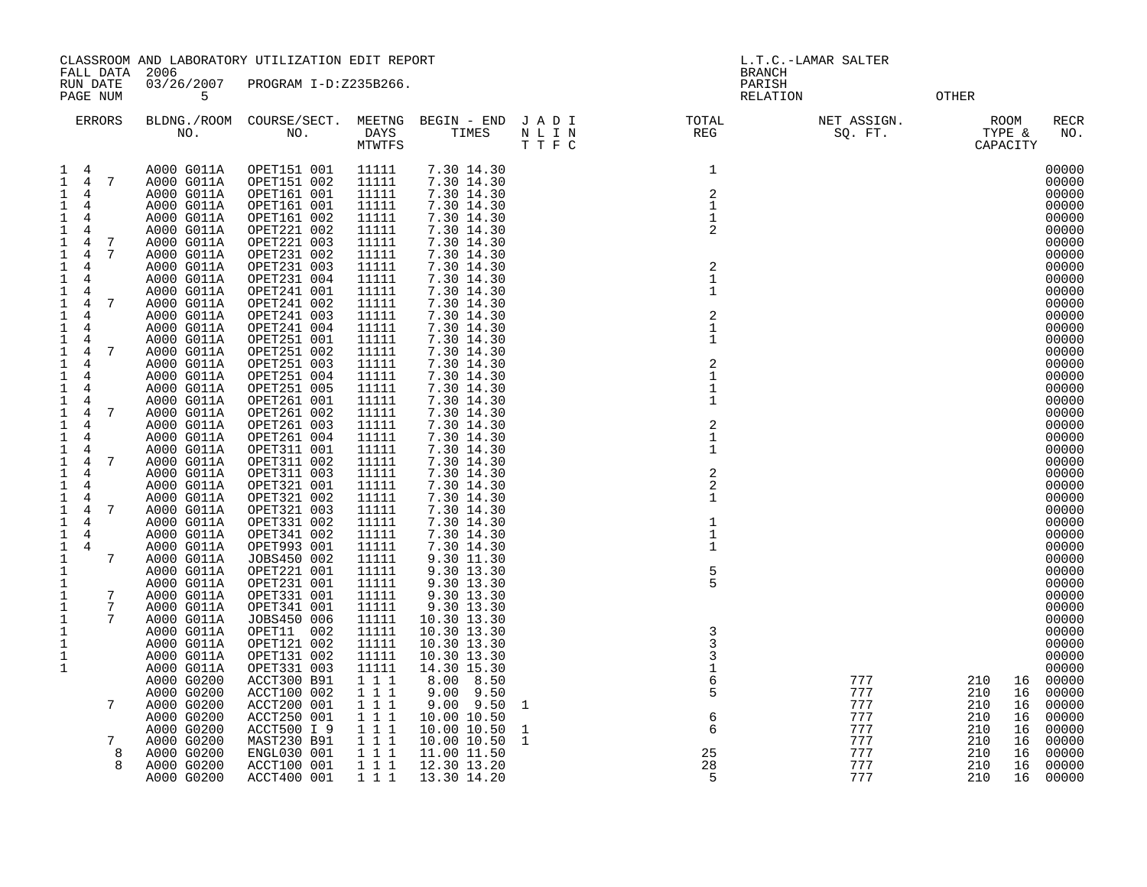|                                                          | CLASSROOM AND LABORATORY UTILIZATION EDIT REPORT |                            |                |                            |                                                                                                                    |                                        | L.T.C.-LAMAR SALTER    |                            |                            |
|----------------------------------------------------------|--------------------------------------------------|----------------------------|----------------|----------------------------|--------------------------------------------------------------------------------------------------------------------|----------------------------------------|------------------------|----------------------------|----------------------------|
| FALL DATA<br>RUN DATE<br>PAGE NUM                        | 2006<br>03/26/2007<br>5                          | PROGRAM I-D:Z235B266.      |                |                            |                                                                                                                    | <b>BRANCH</b><br>PARISH<br>RELATION    |                        | OTHER                      |                            |
| ERRORS                                                   |                                                  |                            | MTWTFS         |                            | BLDNG./ROOM COURSE/SECT. MEETNG BEGIN – END J A D I TOTAL TOTAL NO. NO. DAYS TIMES N L I N REG REG T T F C<br>TTFC |                                        | NET ASSIGN.<br>SQ. FT. | ROOM<br>TYPE &<br>CAPACITY | RECR<br>NO.                |
| 1 4                                                      | A000 G011A                                       | OPET151 001                | 11111          | 7.30 14.30                 |                                                                                                                    | $\mathbf{1}$                           |                        |                            | 00000                      |
| $1 \quad 4 \quad 7$                                      | A000 G011A                                       | OPET151 002                | 11111          | 7.30 14.30                 |                                                                                                                    |                                        |                        |                            | 00000                      |
| $\mathbf{1}$<br>4                                        | A000 G011A                                       | OPET161 001                | 11111          | 7.30 14.30                 |                                                                                                                    | $\overline{c}$                         |                        |                            | 00000                      |
| $\mathbf{1}$<br>4<br>$\mathbf{1}$<br>4                   | A000 G011A<br>A000 G011A                         | OPET161 001<br>OPET161 002 | 11111<br>11111 | 7.30 14.30<br>7.30 14.30   |                                                                                                                    | 1<br>$\mathbf 1$                       |                        |                            | 00000<br>00000             |
| $\mathbf{1}$<br>4                                        | A000 G011A                                       | OPET221 002                | 11111          | 7.30 14.30                 |                                                                                                                    | 2                                      |                        |                            | 00000                      |
| $7\phantom{.0}$<br>$\mathbf{1}$<br>$\overline{4}$        | A000 G011A                                       | OPET221 003                | 11111          | 7.30 14.30                 |                                                                                                                    |                                        |                        |                            | 00000                      |
| 7<br>1<br>4                                              | A000 G011A                                       | OPET231 002                | 11111          | 7.30 14.30                 |                                                                                                                    |                                        |                        |                            | 00000                      |
| $\mathbf{1}$<br>4                                        | A000 G011A                                       | OPET231 003                | 11111          | 7.30 14.30                 |                                                                                                                    | $\overline{2}$                         |                        |                            | 00000                      |
| 1<br>4                                                   | A000 G011A                                       | OPET231 004                | 11111          | 7.30 14.30                 |                                                                                                                    | $\mathbf 1$                            |                        |                            | 00000                      |
| 1<br>4                                                   | A000 G011A                                       | OPET241 001                | 11111          | 7.30 14.30                 |                                                                                                                    | $\mathbf 1$                            |                        |                            | 00000                      |
| $\overline{4}$<br>7<br>1                                 | A000 G011A                                       | OPET241 002                | 11111          | 7.30 14.30<br>7.30 14.30   |                                                                                                                    |                                        |                        |                            | 00000                      |
| $\mathbf{1}$<br>4<br>4<br>1                              | A000 G011A<br>A000 G011A                         | OPET241 003<br>OPET241 004 | 11111<br>11111 | 7.30 14.30                 |                                                                                                                    | $\overline{\mathbf{c}}$<br>$\mathbf 1$ |                        |                            | 00000<br>00000             |
| 1<br>4                                                   | A000 G011A                                       | OPET251 001                | 11111          | 7.30 14.30                 |                                                                                                                    | $\mathbf 1$                            |                        |                            | 00000                      |
| $\mathbf{1}$<br>$\overline{4}$<br>7                      | A000 G011A                                       | OPET251 002                | 11111          | 7.30 14.30                 |                                                                                                                    |                                        |                        |                            | 00000                      |
| $\mathbf{1}$<br>4                                        | A000 G011A                                       | OPET251 003                | 11111          | 7.30 14.30                 |                                                                                                                    | 2                                      |                        |                            | 00000                      |
| 1<br>$\overline{4}$                                      | A000 G011A                                       | OPET251 004                | 11111          | 7.30 14.30                 |                                                                                                                    | $\mathbf{1}$                           |                        |                            | 00000                      |
| 1<br>4                                                   | A000 G011A                                       | OPET251 005                | 11111          | 7.30 14.30                 |                                                                                                                    | 1                                      |                        |                            | 00000                      |
| $\mathbf{1}$<br>$\overline{4}$                           | A000 G011A                                       | OPET261 001                | 11111          | 7.30 14.30                 |                                                                                                                    | $\mathbf{1}$                           |                        |                            | 00000                      |
| $\mathbf{1}$<br>7<br>4<br>$\mathbf{1}$<br>$\overline{4}$ | A000 G011A<br>A000 G011A                         | OPET261 002<br>OPET261 003 | 11111<br>11111 | 7.30 14.30<br>7.30 14.30   |                                                                                                                    | $\overline{2}$                         |                        |                            | 00000<br>00000             |
| $\overline{4}$<br>$\mathbf{1}$                           | A000 G011A                                       | OPET261 004                | 11111          | 7.30 14.30                 |                                                                                                                    | $\mathbf 1$                            |                        |                            | 00000                      |
| $\mathbf{1}$<br>$\overline{4}$                           | A000 G011A                                       | OPET311 001                | 11111          | 7.30 14.30                 |                                                                                                                    | $\mathbf 1$                            |                        |                            | 00000                      |
| $\mathbf{1}$<br>$\overline{4}$<br>7                      | A000 G011A                                       | OPET311 002                | 11111          | 7.30 14.30                 |                                                                                                                    |                                        |                        |                            | 00000                      |
| $\mathbf{1}$<br>$\overline{4}$                           | A000 G011A                                       | OPET311 003                | 11111          | 7.30 14.30                 |                                                                                                                    | $\overline{c}$                         |                        |                            | 00000                      |
| $\mathbf{1}$<br>4                                        | A000 G011A                                       | OPET321 001                | 11111          | 7.30 14.30                 |                                                                                                                    | $\overline{c}$                         |                        |                            | 00000                      |
| $\mathbf{1}$<br>4                                        | A000 G011A                                       | OPET321 002                | 11111          | 7.30 14.30                 |                                                                                                                    | $\mathbf{1}$                           |                        |                            | 00000                      |
| $\mathbf{1}$<br>$\overline{4}$<br>7<br>4                 | A000 G011A                                       | OPET321 003                | 11111          | 7.30 14.30                 |                                                                                                                    |                                        |                        |                            | 00000<br>00000             |
| $\mathbf{1}$<br>$\mathbf{1}$<br>4                        | A000 G011A<br>A000 G011A                         | OPET331 002<br>OPET341 002 | 11111<br>11111 | 7.30 14.30<br>7.30 14.30   |                                                                                                                    | 1<br>$\mathbf{1}$                      |                        |                            | 00000                      |
| $\mathbf{1}$<br>4                                        | A000 G011A                                       | OPET993 001                | 11111          | 7.30 14.30                 |                                                                                                                    | 1                                      |                        |                            | 00000                      |
| 7<br>1                                                   | A000 G011A                                       | JOBS450 002                | 11111          | 9.30 11.30                 |                                                                                                                    |                                        |                        |                            | 00000                      |
| $\mathbf{1}$                                             | A000 G011A                                       | OPET221 001                | 11111          | 9.30 13.30                 |                                                                                                                    | 5                                      |                        |                            | 00000                      |
| 1                                                        | A000 G011A                                       | OPET231 001                | 11111          | 9.30 13.30                 |                                                                                                                    | 5                                      |                        |                            | 00000                      |
| $7\phantom{.0}$<br>1                                     | A000 G011A                                       | OPET331 001                | 11111          | 9.30 13.30                 |                                                                                                                    |                                        |                        |                            | 00000                      |
| $7\phantom{.0}$<br>1                                     | A000 G011A                                       | OPET341 001                | 11111          | 9.30 13.30                 |                                                                                                                    |                                        |                        |                            | 00000                      |
| $\mathbf{1}$<br>7<br>1                                   | A000 G011A                                       | JOBS450 006<br>OPET11 002  | 11111<br>11111 | 10.30 13.30<br>10.30 13.30 |                                                                                                                    | 3                                      |                        |                            | 00000<br>00000             |
| 1                                                        | A000 G011A<br>A000 G011A                         | OPET121 002                | 11111          | 10.30 13.30                |                                                                                                                    | 3                                      |                        |                            | 00000                      |
| 1                                                        | A000 G011A                                       | OPET131 002                | 11111          | 10.30 13.30                |                                                                                                                    |                                        |                        |                            | 00000                      |
| 1                                                        | A000 G011A                                       | OPET331 003                | 11111          | 14.30 15.30                |                                                                                                                    | $\mathbf 1$                            |                        |                            | 00000                      |
|                                                          | A000 G0200                                       | <b>ACCT300 B91</b>         | 111            | 8.00 8.50                  |                                                                                                                    | 6                                      | 777                    | 210                        | 00000<br>16                |
|                                                          | A000 G0200                                       | ACCT100 002                | 1 1 1          | $9.00$ $9.50$              |                                                                                                                    | 5                                      | 777                    | 210                        | 00000<br>16                |
| 7                                                        | A000 G0200                                       | ACCT200 001                | 1 1 1          | $9.00$ $9.50$              | 1                                                                                                                  |                                        | 777                    | 210                        | 00000<br>16                |
|                                                          | A000 G0200                                       | ACCT250 001                | 111            | 10.00 10.50                |                                                                                                                    | 6                                      | 777                    | 210                        | 00000<br>16                |
| 7                                                        | A000 G0200<br>A000 G0200                         | ACCT500 I 9<br>MAST230 B91 | 111<br>111     | 10.00 10.50<br>10.00 10.50 | 1<br>$\mathbf{1}$                                                                                                  | 6                                      | 777<br>777             | 210<br>210                 | 00000<br>16<br>00000<br>16 |
|                                                          | 8<br>A000 G0200                                  | ENGL030 001                | 1 1 1          | 11.00 11.50                |                                                                                                                    | 25                                     | 777                    | 210                        | 00000<br>16                |
|                                                          | A000 G0200<br>8                                  | ACCT100 001                | 1 1 1          | 12.30 13.20                |                                                                                                                    | 28                                     | 777                    | 210                        | 00000<br>16                |
|                                                          | A000 G0200                                       | ACCT400 001                | 1 1 1          | 13.30 14.20                |                                                                                                                    |                                        | 777                    | 210                        | 16<br>00000                |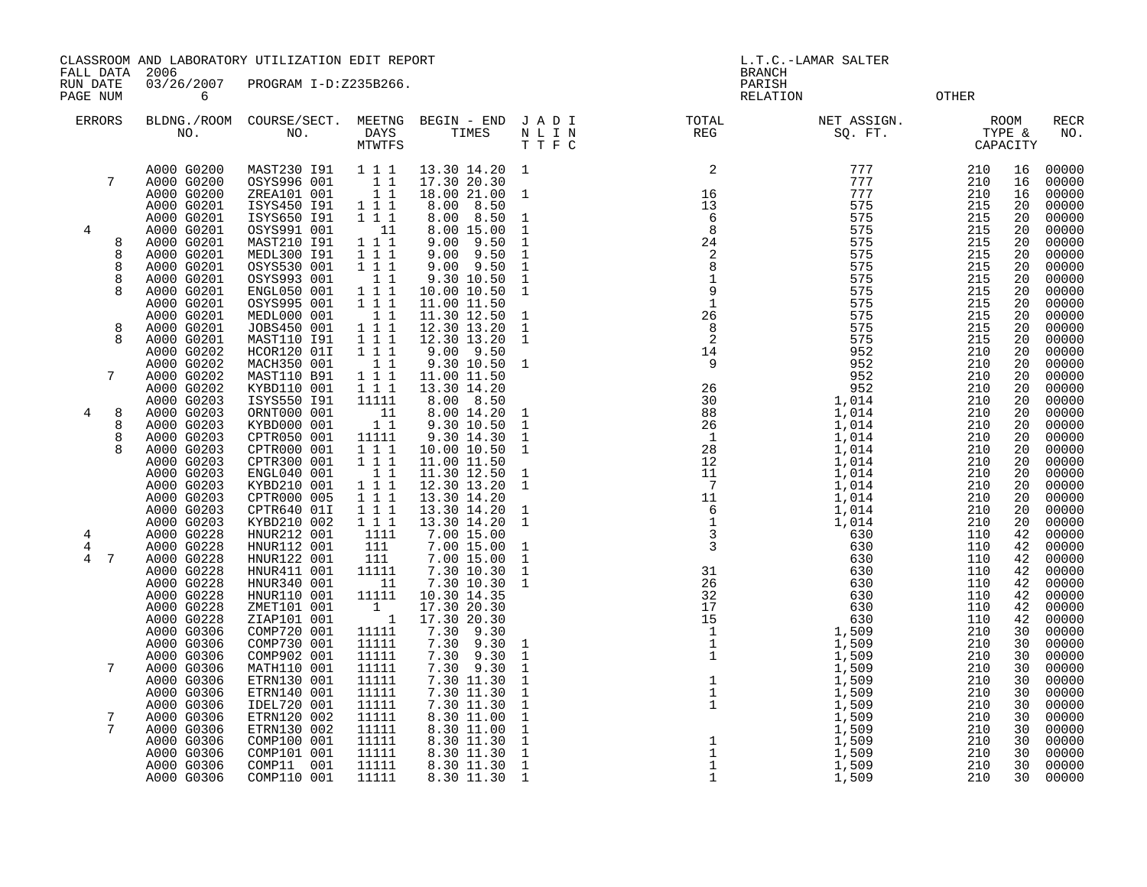CLASSROOM AND LABORATORY UTILIZATION EDIT REPORT AND REPORT THE REPORT OF L.T.C.-LAMAR SALTER

FALL DATA 2006 BRANCH

RUN DATE 03/26/2007 PROGRAM I-D:Z235B266. PAGE NUM 6 CONTROL CONTROL CONTROL CONTROL CONTROL CONTROL CONTROL CONTROL CONTROL CONTROL CONTROL CONTROL CONTROL CONTROL CONTROL CONTROL CONTROL CONTROL CONTROL CONTROL CONTROL CONTROL CONTROL CONTROL CONTROL CONTROL CON

| ERRORS | NO.                      | BLDNG./ROOM COURSE/SECT.<br>NO. | MEETNG<br>DAYS<br><b>MTWTFS</b> | BEGIN - END<br>TIMES     | JADI<br>N L I N<br>TTFC      | TOTAL<br>REG                      | NET ASSIGN.<br>SQ. FT. | CAPACITY   | <b>ROOM</b><br>TYPE & | RECR<br>NO.    |
|--------|--------------------------|---------------------------------|---------------------------------|--------------------------|------------------------------|-----------------------------------|------------------------|------------|-----------------------|----------------|
|        | A000 G0200               | MAST230 191                     | 1 1 1                           | 13.30 14.20              | 1                            | $\overline{c}$                    | 777                    | 210        | 16                    | 00000          |
| 7      | A000 G0200               | OSYS996 001                     | 11                              | 17.30 20.30              |                              |                                   | 777                    | 210        | 16                    | 00000          |
|        | A000 G0200               | ZREA101 001                     | 11                              | 18.00 21.00              | 1                            | 16                                | 777                    | 210        | 16                    | 00000          |
|        | A000 G0201               | ISYS450 191                     | 1 1 1                           | 8.00 8.50                |                              | 13                                | 575                    | 215        | 20                    | 00000          |
|        | A000 G0201               | ISYS650 191                     | 1 1 1                           | 8.00 8.50                | $\mathbf{1}$                 | -6                                | 575                    | 215        | 20                    | 00000          |
| 4      | A000 G0201               | OSYS991 001                     | 11                              | 8.00 15.00               | 1                            | 8                                 | 575                    | 215        | 20                    | 00000          |
| 8      | A000 G0201               | MAST210 191                     | 1 1 1                           | $9.00$ $9.50$            | $\mathbf{1}$                 | 24                                | 575                    | 215        | 20                    | 00000          |
| 8      | A000 G0201               | MEDL300 191                     | 1 1 1                           | $9.00$ $9.50$            | $\mathbf{1}$                 | $\overline{c}$                    | 575                    | 215        | 20                    | 00000          |
| 8      | A000 G0201               | OSYS530 001                     | 1 1 1                           | $9.00$ $9.50$            | $\mathbf{1}$                 | 8                                 | 575                    | 215        | 20                    | 00000          |
| 8      | A000 G0201               | OSYS993 001                     | 11                              | 9.30 10.50               | $\mathbf{1}$                 | $\mathbf{1}$                      | 575                    | 215        | 20                    | 00000          |
| 8      | A000 G0201               | ENGL050 001                     | 1 1 1                           | 10.00 10.50              | $\mathbf{1}$                 | 9                                 | 575                    | 215        | 20                    | 00000          |
|        | A000 G0201               | OSYS995 001                     | 1 1 1                           | 11.00 11.50              |                              | $\mathbf{1}$                      | 575                    | 215        | 20                    | 00000          |
|        | A000 G0201               | MEDL000 001                     | $1\quad1$                       | 11.30 12.50              | $\mathbf{1}$                 | 26                                | 575                    | 215        | 20                    | 00000          |
| 8      | A000 G0201               | JOBS450 001                     | 1 1 1                           | 12.30 13.20              | 1                            | 8                                 | 575                    | 215        | 20                    | 00000          |
| 8      | A000 G0201               | MAST110 191                     | 1 1 1                           | 12.30 13.20              | $\mathbf{1}$                 | $\overline{c}$                    | 575                    | 215        | 20                    | 00000          |
|        | A000 G0202               | HCOR120 01I                     | 1 1 1                           | 9.00 9.50                |                              | 14                                | 952                    | 210        | 20                    | 00000          |
|        | A000 G0202               | MACH350 001                     | 11                              | 9.30 10.50               | 1                            | - 9                               | 952                    | 210        | 20                    | 00000          |
| 7      | A000 G0202               | MAST110 B91                     | 1 1 1                           | 11.00 11.50              |                              |                                   | 952                    | 210        | 20                    | 00000          |
|        | A000 G0202               | KYBD110 001                     | $1 1 1$                         | 13.30 14.20              |                              | 26                                | 952                    | 210        | 20                    | 00000          |
|        | A000 G0203               | ISYS550 191                     | 11111                           | 8.00 8.50                |                              | $\frac{30}{88}$                   | 1,014                  | 210        | 20                    | 00000          |
| 4<br>8 | A000 G0203               | ORNT000 001                     | 11                              | 8.00 14.20               | 1                            |                                   | 1,014                  | 210        | 20                    | 00000          |
| 8      | A000 G0203               | KYBD000 001                     | 11                              | 9.30 10.50               | $\mathbf{1}$                 | 26                                | 1,014                  | 210        | 20                    | 00000          |
| 8      | A000 G0203               | CPTR050 001                     | 11111                           | 9.30 14.30               | $\mathbf{1}$                 | $\overline{1}$                    | 1,014                  | 210        | 20                    | 00000          |
|        | A000 G0203               | CPTR000 001                     | 111                             | 10.00 10.50              | $\mathbf{1}$                 | 28                                | 1,014                  | 210        | 20                    | 00000          |
|        | A000 G0203               | CPTR300 001                     | 1 1 1                           | 11.00 11.50              |                              |                                   | 1,014                  | 210        | 20                    | 00000          |
|        | A000 G0203               | ENGL040 001                     | 11                              | 11.30 12.50              | 1                            | $\frac{12}{11}$<br>$\frac{11}{7}$ | 1,014                  | 210        | 20                    | 00000          |
|        | A000 G0203               | KYBD210 001                     | 111                             | 12.30 13.20              | $\mathbf{1}$                 |                                   | 1,014                  | 210        | 20                    | 00000          |
|        | A000 G0203               | CPTR000 005                     | 1 1 1                           | 13.30 14.20              |                              |                                   | 1,014                  | 210        | 20                    | 00000          |
|        | A000 G0203               | CPTR640 01I                     | 111                             | 13.30 14.20              | 1                            |                                   | 1,014                  | 210        | 20                    | 00000          |
|        | A000 G0203               | KYBD210 002                     | 111                             | 13.30 14.20              | $\mathbf{1}$                 |                                   | 1,014                  | 210        | 20                    | 00000          |
| 4      | A000 G0228               | HNUR212 001                     | 1111                            | 7.00 15.00               |                              |                                   | 630                    | 110        | 42                    | 00000          |
| 4      | A000 G0228               | HNUR112 001                     | 111                             | 7.00 15.00               | 1                            |                                   | 630                    | 110        | 42                    | 00000          |
| 4<br>7 | A000 G0228<br>A000 G0228 | HNUR122 001                     | 111<br>11111                    | 7.00 15.00               | $\mathbf{1}$                 | 31                                | 630<br>630             | 110        | 42                    | 00000<br>00000 |
|        | A000 G0228               | HNUR411 001<br>HNUR340 001      | 11                              | 7.30 10.30<br>7.30 10.30 | $\mathbf{1}$<br>$\mathbf{1}$ | 26                                | 630                    | 110<br>110 | 42<br>42              | 00000          |
|        | A000 G0228               | HNUR110 001                     | 11111                           | 10.30 14.35              |                              | 32                                | 630                    | 110        | 42                    | 00000          |
|        | A000 G0228               | ZMET101 001                     | $\mathbf{1}$                    | 17.30 20.30              |                              | 17                                | 630                    | 110        | 42                    | 00000          |
|        | A000 G0228               | ZIAP101 001                     | $\overline{\phantom{a}}$        | 17.30 20.30              |                              | 15                                | 630                    | 110        | 42                    | 00000          |
|        | A000 G0306               | COMP720 001                     | 11111                           | 7.30 9.30                |                              | $\mathbf{1}$                      | 1,509                  | 210        | 30                    | 00000          |
|        | A000 G0306               | COMP730 001                     | 11111                           | 7.30 9.30                | 1                            | $\mathbf{1}$                      | 1,509                  | 210        | 30                    | 00000          |
|        | A000 G0306               | COMP902 001                     | 11111                           | 7.30<br>9.30             | $\mathbf{1}$                 | $\mathbf{1}$                      | 1,509                  | 210        | 30                    | 00000          |
| 7      | A000 G0306               | MATH110 001                     | 11111                           | 7.30 9.30                | $\mathbf{1}$                 |                                   | 1,509                  | 210        | 30                    | 00000          |
|        | A000 G0306               | ETRN130 001                     | 11111                           | 7.30 11.30               | 1                            | $\mathbf{1}$                      | 1,509                  | 210        | 30                    | 00000          |
|        | A000 G0306               | ETRN140 001                     | 11111                           | 7.30 11.30               | 1                            | $\mathbf{1}$                      | 1,509                  | 210        | 30                    | 00000          |
|        | A000 G0306               | IDEL720 001                     | 11111                           | 7.30 11.30               | $\mathbf{1}$                 | $\mathbf{1}$                      | 1,509                  | 210        | 30                    | 00000          |
| 7      | A000 G0306               | ETRN120 002                     | 11111                           | 8.30 11.00               | $\mathbf{1}$                 |                                   | 1,509                  | 210        | 30                    | 00000          |
| 7      | A000 G0306               | ETRN130 002                     | 11111                           | 8.30 11.00               | 1                            |                                   | 1,509                  | 210        | 30                    | 00000          |
|        | A000 G0306               | COMP100 001                     | 11111                           | 8.30 11.30               | $\mathbf{1}$                 | $\mathbf{1}$                      | 1,509                  | 210        | 30                    | 00000          |
|        | A000 G0306               | COMP101 001                     | 11111                           | 8.30 11.30               | $\mathbf 1$                  | $\mathbf{1}$                      | 1,509                  | 210        | 30                    | 00000          |
|        | A000 G0306               | COMP11 001                      | 11111                           | 8.30 11.30               | $\mathbf{1}$                 | $\mathbf{1}$                      | 1,509                  | 210        | 30                    | 00000          |
|        | A000 G0306               | COMP110 001                     | 11111                           | 8.30 11.30               | $\mathbf{1}$                 | $\mathbf{1}$                      | 1,509                  | 210        | 30                    | 00000          |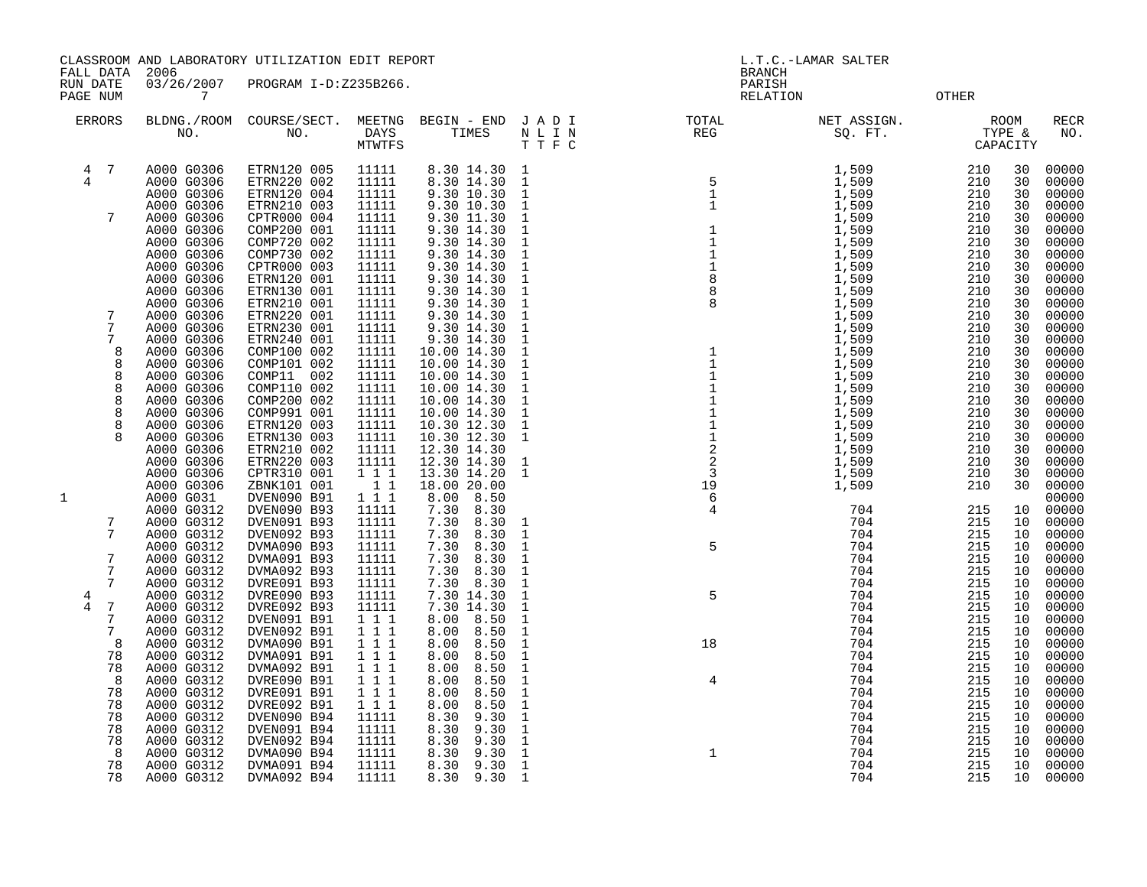CLASSROOM AND LABORATORY UTILIZATION EDIT REPORT SERVICES AND REPORT THE L.T.C.-LAMAR SALTER

FALL DATA 2006 BRANCH

RUN DATE 03/26/2007 PROGRAM I-D:Z235B266.<br>PAGE NUM 7 PAGE NUM 7 CONTRACT THE CONTRACT OF THE CONTRACT CONTRACT CONTRACT CONTRACT ON COMPRETE OF THE CONTRACT OF CONTRACT OF CONTRACT OF CONTRACT OF CONTRACT OF CONTRACT OF CONTRACT OF CONTRACT OF CONTRACT OF CONTRACT OF CONTRAC

| <b>ERRORS</b>       |                 | NO.                                    | BLDNG./ROOM COURSE/SECT.<br>NO.           | MEETNG<br>DAYS<br>MTWTFS | BEGIN - END<br>TIMES                   | J A D I<br>$\begin{array}{ccccc} N&L&I&N\\ T&T&F&C\\ \end{array}$ | NUMBER REG                                                          | NET ASSIGN.<br>SQ. FT.               | TYPE &            | ROOM<br>CAPACITY | <b>RECR</b><br>NO.      |
|---------------------|-----------------|----------------------------------------|-------------------------------------------|--------------------------|----------------------------------------|-------------------------------------------------------------------|---------------------------------------------------------------------|--------------------------------------|-------------------|------------------|-------------------------|
| $\overline{4}$<br>4 | $7\phantom{.0}$ | A000 G0306<br>A000 G0306<br>A000 G0306 | ETRN120 005<br>ETRN220 002<br>ETRN120 004 | 11111<br>11111<br>11111  | 8.30 14.30<br>8.30 14.30<br>9.30 10.30 | $\overline{1}$<br>$\mathbf{1}$<br>$1\,$                           | $\begin{array}{c} 5 \\ 1 \\ 1 \\ 1 \\ 1 \end{array}$                | 1,509<br>$\overline{1,509}$<br>1,509 | 210<br>210<br>210 | 30<br>30<br>30   | 00000<br>00000<br>00000 |
|                     | 7               | A000 G0306<br>A000 G0306               | ETRN210 003<br>CPTR000 004                | 11111<br>11111           | 9.30 10.30<br>9.30 11.30               | $\mathbf{1}$<br>$\mathbf{1}$                                      |                                                                     | 1,509<br>1,509                       | 210<br>210        | 30<br>30         | 00000<br>00000          |
|                     |                 | A000 G0306<br>A000 G0306               | COMP200 001<br>COMP720 002                | 11111<br>11111           | 9.30 14.30<br>9.30 14.30               | $1\,$<br>$\mathbf{1}$                                             | $\begin{array}{c} 1 \\ 1 \\ 1 \\ 2 \\ 8 \\ 8 \end{array}$           | 1,509<br>1,509                       | 210<br>210        | 30<br>30         | 00000<br>00000          |
|                     |                 | A000 G0306<br>A000 G0306               | COMP730 002<br>CPTR000 003                | 11111<br>11111           | 9.30 14.30<br>9.30 14.30               | $\mathbf{1}$<br>$\mathbf{1}$                                      |                                                                     | 1,509<br>1,509                       | 210<br>210        | 30<br>30         | 00000<br>00000          |
|                     |                 | A000 G0306                             | ETRN120 001                               | 11111                    | 9.30 14.30                             | $\mathbf{1}$                                                      |                                                                     | 1,509                                | 210               | 30               | 00000                   |
|                     |                 | A000 G0306<br>A000 G0306               | ETRN130 001<br>ETRN210 001                | 11111<br>11111           | 9.30 14.30<br>9.30 14.30               | $\mathbf{1}$<br>$\mathbf{1}$                                      |                                                                     | 1,509<br>1,509                       | 210<br>210        | 30<br>30         | 00000<br>00000          |
|                     | 7               | A000 G0306                             | ETRN220 001                               | 11111                    | 9.30 14.30                             | $\mathbf{1}$                                                      |                                                                     | 1,509                                | 210               | 30               | 00000                   |
|                     | 7<br>7          | A000 G0306<br>A000 G0306               | ETRN230 001<br>ETRN240 001                | 11111<br>11111           | 9.30 14.30<br>9.30 14.30               | $\mathbf{1}$<br>$1\,$                                             |                                                                     | 1,509<br>1,509                       | 210<br>210        | 30<br>30         | 00000<br>00000          |
|                     | 8<br>8          | A000 G0306<br>A000 G0306               | COMP100 002<br>COMP101 002                | 11111<br>11111           | 10.00 14.30<br>10.00 14.30             | $\mathbf{1}$<br>$\mathbf{1}$                                      |                                                                     | 1,509<br>1,509                       | 210<br>210        | 30<br>30         | 00000<br>00000          |
|                     | 8               | A000 G0306                             | COMP11 002                                | 11111                    | 10.00 14.30                            | $\mathbf{1}$                                                      |                                                                     | 1,509                                | 210               | 30               | 00000                   |
|                     | 8<br>8          | A000 G0306<br>A000 G0306               | COMP110 002<br>COMP200 002                | 11111<br>11111           | 10.00 14.30<br>10.00 14.30             | $\mathbf{1}$<br>$\mathbf{1}$                                      |                                                                     | 1,509<br>1,509                       | 210<br>210        | 30<br>30         | 00000<br>00000          |
|                     | 8               | A000 G0306                             | COMP991 001                               | 11111                    | 10.00 14.30                            | $\mathbf{1}$                                                      | $\begin{array}{c} 1 \\ 1 \\ 1 \\ 1 \\ 1 \\ 2 \\ 2 \\ 3 \end{array}$ | 1,509                                | 210               | 30               | 00000                   |
|                     | 8<br>8          | A000 G0306<br>A000 G0306               | ETRN120 003<br>ETRN130 003                | 11111<br>11111           | 10.30 12.30<br>10.30 12.30             | $\mathbf{1}$<br>$\mathbf{1}$                                      |                                                                     | 1,509<br>1,509                       | 210<br>210        | 30<br>30         | 00000<br>00000          |
|                     |                 | A000 G0306                             | ETRN210 002                               | 11111                    | 12.30 14.30                            |                                                                   |                                                                     | 1,509                                | 210               | 30               | 00000                   |
|                     |                 | A000 G0306<br>A000 G0306               | ETRN220 003<br>CPTR310 001                | 11111<br>$1 1 1$         | 12.30 14.30<br>13.30 14.20             | $\mathbf{1}$<br>$\,$ 1                                            |                                                                     | 1,509<br>1,509                       | 210<br>210        | 30<br>30         | 00000<br>00000          |
| 1                   |                 | A000 G0306<br>A000 G031                | ZBNK101 001<br>DVEN090 B91                | $1\quad1$<br>111         | 18.00 20.00<br>8.00<br>8.50            |                                                                   | 19<br>6                                                             | 1,509                                | 210               | 30               | 00000<br>00000          |
|                     |                 | A000 G0312                             | DVEN090 B93                               | 11111                    | 7.30<br>8.30                           |                                                                   | 4                                                                   | 704                                  | 215               | 10               | 00000                   |
|                     | 7<br>7          | A000 G0312<br>A000 G0312               | DVEN091 B93<br>DVEN092 B93                | 11111<br>11111           | 7.30<br>8.30<br>7.30<br>8.30           | $\mathbf{1}$<br>$\mathbf{1}$                                      |                                                                     | 704<br>704                           | 215<br>215        | 10<br>10         | 00000<br>00000          |
|                     |                 | A000 G0312                             | DVMA090 B93                               | 11111                    | 7.30<br>8.30                           | $1\,$                                                             | 5                                                                   | 704                                  | 215               | 10               | 00000                   |
|                     | 7<br>7          | A000 G0312<br>A000 G0312               | DVMA091 B93<br>DVMA092 B93                | 11111<br>11111           | 7.30<br>8.30<br>8.30<br>7.30           | $\mathbf{1}$<br>$\mathbf{1}$                                      |                                                                     | 704<br>704                           | 215<br>215        | 10<br>10         | 00000<br>00000          |
|                     | 7               | A000 G0312<br>A000 G0312               | DVRE091 B93<br>DVRE090 B93                | 11111<br>11111           | 7.30 8.30<br>7.30 14.30                | $\mathbf{1}$<br>$\mathbf{1}$                                      | 5                                                                   | 704<br>704                           | 215<br>215        | 10<br>10         | 00000<br>00000          |
| 4<br>4              | 7               | A000 G0312                             | DVRE092 B93                               | 11111                    | 7.30 14.30                             | $\mathbf{1}$                                                      |                                                                     | 704                                  | 215               | 10               | 00000                   |
|                     | 7<br>7          | A000 G0312<br>A000 G0312               | DVEN091 B91<br>DVEN092 B91                | $1 1 1$<br>1 1 1         | 8.00<br>8.50<br>8.50<br>8.00           | $\mathbf{1}$<br>$\mathbf{1}$                                      |                                                                     | 704<br>704                           | 215<br>215        | 10<br>10         | 00000<br>00000          |
|                     | 8               | A000 G0312                             | DVMA090 B91                               | 1 1 1                    | 8.00<br>8.50                           | $\mathbf{1}$                                                      | 18                                                                  | 704                                  | 215               | 10               | 00000                   |
|                     | 78<br>78        | A000 G0312<br>A000 G0312               | DVMA091 B91<br>DVMA092 B91                | $1 1 1$<br>$1 1 1$       | 8.00<br>8.50<br>8.00<br>8.50           | $\mathbf{1}$<br>$\mathbf{1}$                                      |                                                                     | 704<br>704                           | 215<br>215        | 10<br>10         | 00000<br>00000          |
|                     | 8               | A000 G0312                             | DVRE090 B91                               | 1 1 1                    | 8.00<br>8.50                           | $\mathbf{1}$                                                      | $\overline{4}$                                                      | 704                                  | 215               | 10               | 00000                   |
|                     | 78<br>78        | A000 G0312<br>A000 G0312               | DVRE091 B91<br>DVRE092 B91                | 111<br>1 1 1             | 8.00<br>8.50<br>8.00<br>8.50           | $\mathbf{1}$<br>1                                                 |                                                                     | 704<br>704                           | 215<br>215        | 10<br>10         | 00000<br>00000          |
|                     | 78<br>78        | A000 G0312<br>A000 G0312               | DVEN090 B94<br>DVEN091 B94                | 11111<br>11111           | 8.30<br>9.30<br>8.30<br>9.30           | $\mathbf{1}$<br>$\mathbf{1}$                                      |                                                                     | 704<br>704                           | 215<br>215        | 10<br>10         | 00000<br>00000          |
|                     | 78              | A000 G0312                             | DVEN092 B94                               | 11111                    | 8.30<br>9.30                           | $\mathbf{1}$                                                      |                                                                     | 704                                  | 215               | 10               | 00000                   |
|                     | 8<br>78         | A000 G0312<br>A000 G0312               | DVMA090 B94<br>DVMA091 B94                | 11111<br>11111           | 8.30<br>9.30<br>8.30<br>9.30           | $\mathbf{1}$<br>$\mathbf{1}$                                      | $\mathbf{1}$                                                        | 704<br>704                           | 215<br>215        | 10<br>10         | 00000<br>00000          |
|                     | 78              | A000 G0312                             | DVMA092 B94                               | 11111                    | 8.30<br>9.30                           | $\mathbf{1}$                                                      |                                                                     | 704                                  | 215               | 10               | 00000                   |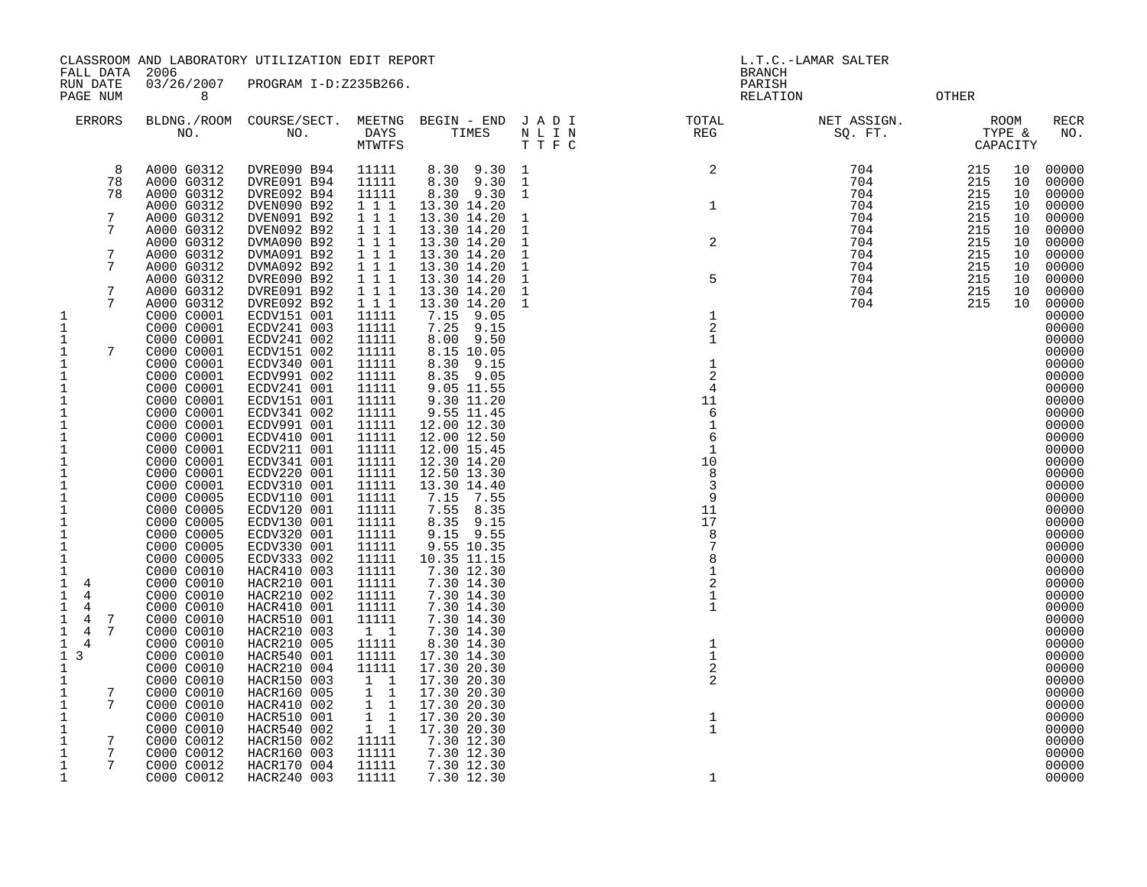| FALL DATA 2006                         |                 |                          | CLASSROOM AND LABORATORY UTILIZATION EDIT REPORT |                        |                            |                              |                                                                                                    | L.T.C.-LAMAR SALTER<br><b>BRANCH</b> |                                        |          |                    |
|----------------------------------------|-----------------|--------------------------|--------------------------------------------------|------------------------|----------------------------|------------------------------|----------------------------------------------------------------------------------------------------|--------------------------------------|----------------------------------------|----------|--------------------|
| RUN DATE<br>PAGE NUM                   |                 | 03/26/2007<br>8          | PROGRAM I-D:Z235B266.                            |                        |                            |                              |                                                                                                    | PARISH<br>RELATION                   | OTHER                                  |          |                    |
| <b>ERRORS</b>                          |                 |                          |                                                  | MTWTFS                 |                            | TTFC                         | BLDNG./ROOM COURSE/SECT. MEETNG BEGIN – END J A D I TOTAL TOTAL NO. NO. DAYS TIMES N L I N REG REG | NET ASSIGN.<br>SQ. FT.               | $TYPE \& TTPE \times TTPE$<br>CAPACITY | ROOM     | <b>RECR</b><br>NO. |
|                                        | 8               | A000 G0312               | DVRE090 B94                                      | 11111                  | 8.30 9.30 1                |                              | $\overline{a}$                                                                                     | 704                                  | 215                                    | 10       | 00000              |
|                                        | 78<br>78        | A000 G0312               | DVRE091 B94                                      | 11111                  | 8.30 9.30                  | $\mathbf{1}$                 |                                                                                                    | 704                                  | 215                                    | 10       | 00000              |
|                                        |                 | A000 G0312<br>A000 G0312 | DVRE092 B94<br>DVEN090 B92                       | 11111<br>1 1 1         | 8.30 9.30<br>13.30 14.20   | $\mathbf{1}$                 | $\mathbf{1}$                                                                                       | 704<br>704                           | 215<br>215                             | 10<br>10 | 00000<br>00000     |
|                                        | 7               | A000 G0312               | DVEN091 B92                                      | 1 1 1                  | 13.30 14.20                | $\mathbf 1$                  |                                                                                                    | 704                                  | 215                                    | 10       | 00000              |
|                                        | 7               | A000 G0312               | DVEN092 B92                                      | 1 1 1                  | 13.30 14.20                | $\mathbf{1}$                 |                                                                                                    | 704                                  | 215<br>215                             | 10       | 00000<br>00000     |
|                                        | 7               | A000 G0312<br>A000 G0312 | DVMA090 B92<br>DVMA091 B92                       | 1 1 1<br>1 1 1         | 13.30 14.20<br>13.30 14.20 | $\mathbf{1}$<br>$\mathbf{1}$ | $\sqrt{2}$                                                                                         | 704<br>704                           | 215                                    | 10<br>10 | 00000              |
|                                        | 7               | A000 G0312               | DVMA092 B92                                      | 1 1 1                  | 13.30 14.20                | $\mathbf{1}$                 |                                                                                                    | 704                                  | 215                                    | 10       | 00000              |
|                                        |                 | A000 G0312               | DVRE090 B92                                      | 111                    | 13.30 14.20                | $\mathbf{1}$                 | $\mathsf S$                                                                                        | 704                                  | 215                                    | 10       | 00000              |
|                                        | 7<br>7          | A000 G0312<br>A000 G0312 | DVRE091 B92<br>DVRE092 B92                       | 111<br>111             | 13.30 14.20<br>13.30 14.20 | $\mathbf{1}$<br>1            |                                                                                                    | 704<br>704                           | 215<br>215                             | 10<br>10 | 00000<br>00000     |
| 1                                      |                 | C000 C0001               | ECDV151 001                                      | 11111                  | 7.15 9.05                  |                              | $\,1\,$                                                                                            |                                      |                                        |          | 00000              |
| $\mathbf 1$                            |                 | C000 C0001               | ECDV241 003                                      | 11111                  | 7.25 9.15                  |                              | $\sqrt{2}$                                                                                         |                                      |                                        |          | 00000              |
| 1                                      | 7               | C000 C0001               | ECDV241 002                                      | 11111                  | 8.00 9.50                  |                              | $\mathbf{1}$                                                                                       |                                      |                                        |          | 00000<br>00000     |
| 1<br>1                                 |                 | C000 C0001<br>C000 C0001 | ECDV151 002<br>ECDV340 001                       | 11111<br>11111         | 8.15 10.05<br>8.30 9.15    |                              | $\mathbf{1}$                                                                                       |                                      |                                        |          | 00000              |
| $\mathbf 1$                            |                 | C000 C0001               | ECDV991 002                                      | 11111                  | 8.35 9.05                  |                              | $\overline{2}$                                                                                     |                                      |                                        |          | 00000              |
| 1                                      |                 | C000 C0001               | ECDV241 001                                      | 11111                  | 9.05 11.55                 |                              | $\overline{4}$                                                                                     |                                      |                                        |          | 00000              |
| 1<br>$\mathbf 1$                       |                 | C000 C0001<br>C000 C0001 | ECDV151 001<br>ECDV341 002                       | 11111<br>11111         | 9.30 11.20<br>9.55 11.45   |                              | 11<br>6                                                                                            |                                      |                                        |          | 00000<br>00000     |
| $\mathbf{1}$                           |                 | C000 C0001               | ECDV991 001                                      | 11111                  | 12.00 12.30                |                              | 1                                                                                                  |                                      |                                        |          | 00000              |
| 1                                      |                 | C000 C0001               | ECDV410 001                                      | 11111                  | 12.00 12.50                |                              | 6                                                                                                  |                                      |                                        |          | 00000              |
| 1<br>$\mathbf 1$                       |                 | C000 C0001<br>C000 C0001 | ECDV211 001<br>ECDV341 001                       | 11111<br>11111         | 12.00 15.45<br>12.30 14.20 |                              | 1<br>10                                                                                            |                                      |                                        |          | 00000<br>00000     |
| $\mathbf{1}$                           |                 | C000 C0001               | ECDV220 001                                      | 11111                  | 12.50 13.30                |                              | 8                                                                                                  |                                      |                                        |          | 00000              |
| $\mathbf{1}$                           |                 | C000 C0001               | ECDV310 001                                      | 11111                  | 13.30 14.40                |                              | 3                                                                                                  |                                      |                                        |          | 00000              |
| $\mathbf{1}$                           |                 | C000 C0005               | ECDV110 001                                      | 11111                  | 7.15 7.55                  |                              | 9<br>11                                                                                            |                                      |                                        |          | 00000              |
| $\mathbf 1$<br>$\mathbf 1$             |                 | C000 C0005<br>C000 C0005 | ECDV120 001<br>ECDV130 001                       | 11111<br>11111         | 7.55 8.35<br>8.35 9.15     |                              | 17                                                                                                 |                                      |                                        |          | 00000<br>00000     |
| $\mathbf{1}$                           |                 | C000 C0005               | ECDV320 001                                      | 11111                  | $9.15$ $9.55$              |                              | 8                                                                                                  |                                      |                                        |          | 00000              |
| $\mathbf 1$                            |                 | C000 C0005               | ECDV330 001                                      | 11111                  | 9.55 10.35                 |                              |                                                                                                    |                                      |                                        |          | 00000              |
| $\mathbf 1$<br>$\mathbf{1}$            |                 | C000 C0005<br>C000 C0010 | ECDV333 002<br>HACR410 003                       | 11111<br>11111         | 10.35 11.15<br>7.30 12.30  |                              | 8<br>$\mathbf{1}$                                                                                  |                                      |                                        |          | 00000<br>00000     |
| $\mathbf{1}$<br>$\overline{4}$         |                 | C000 C0010               | HACR210 001                                      | 11111                  | 7.30 14.30                 |                              | $\overline{2}$                                                                                     |                                      |                                        |          | 00000              |
| $\mathbf{1}$<br>4                      |                 | C000 C0010               | HACR210 002                                      | 11111                  | 7.30 14.30                 |                              | 1                                                                                                  |                                      |                                        |          | 00000              |
| $\mathbf{1}$<br>4<br>$\mathbf{1}$<br>4 | -7              | C000 C0010<br>C000 C0010 | HACR410 001<br>HACR510 001                       | 11111<br>11111         | 7.30 14.30<br>7.30 14.30   |                              | 1                                                                                                  |                                      |                                        |          | 00000<br>00000     |
| $\mathbf{1}$<br>$4\overline{4}$        | 7               | C000 C0010               | HACR210 003                                      | $1\quad1$              | 7.30 14.30                 |                              |                                                                                                    |                                      |                                        |          | 00000              |
| $\mathbf{1}$<br>$\overline{4}$         |                 | C000 C0010               | HACR210 005                                      | 11111                  | 8.30 14.30                 |                              | $\mathbf 1$                                                                                        |                                      |                                        |          | 00000              |
| $1 \overline{3}$                       |                 | C000 C0010               | HACR540 001                                      | 11111                  | 17.30 14.30                |                              | $\mathbf 1$                                                                                        |                                      |                                        |          | 00000              |
| $\mathbf 1$<br>1                       |                 | C000 C0010<br>C000 C0010 | HACR210 004<br>HACR150 003                       | 11111<br>1 1           | 17.30 20.30<br>17.30 20.30 |                              | $\mathbf{2}$<br>2                                                                                  |                                      |                                        |          | 00000<br>00000     |
| $\mathbf{1}$                           | $7\overline{ }$ | C000 C0010               | HACR160 005                                      | $1\quad1$              | 17.30 20.30                |                              |                                                                                                    |                                      |                                        |          | 00000              |
| $\overline{7}$<br>1                    |                 | C000 C0010               | HACR410 002                                      | $1\quad1$              | 17.30 20.30                |                              |                                                                                                    |                                      |                                        |          | 00000              |
| $\mathbf 1$<br>$\mathbf 1$             |                 | C000 C0010<br>C000 C0010 | HACR510 001<br>HACR540 002                       | $1\quad1$<br>$1\quad1$ | 17.30 20.30<br>17.30 20.30 |                              | $\frac{1}{1}$                                                                                      |                                      |                                        |          | 00000<br>00000     |
| $\overline{7}$<br>1                    |                 | C000 C0012               | HACR150 002                                      | 11111                  | 7.30 12.30                 |                              |                                                                                                    |                                      |                                        |          | 00000              |
| 1                                      | $7\overline{ }$ | C000 C0012               | HACR160 003                                      | 11111                  | 7.30 12.30                 |                              |                                                                                                    |                                      |                                        |          | 00000              |
| 1                                      | $\overline{7}$  | C000 C0012               | HACR170 004                                      | 11111                  | 7.30 12.30                 |                              |                                                                                                    |                                      |                                        |          | 00000              |
| $\mathbf{1}$                           |                 | C000 C0012               | HACR240 003                                      | 11111                  | 7.30 12.30                 |                              | 1                                                                                                  |                                      |                                        |          | 00000              |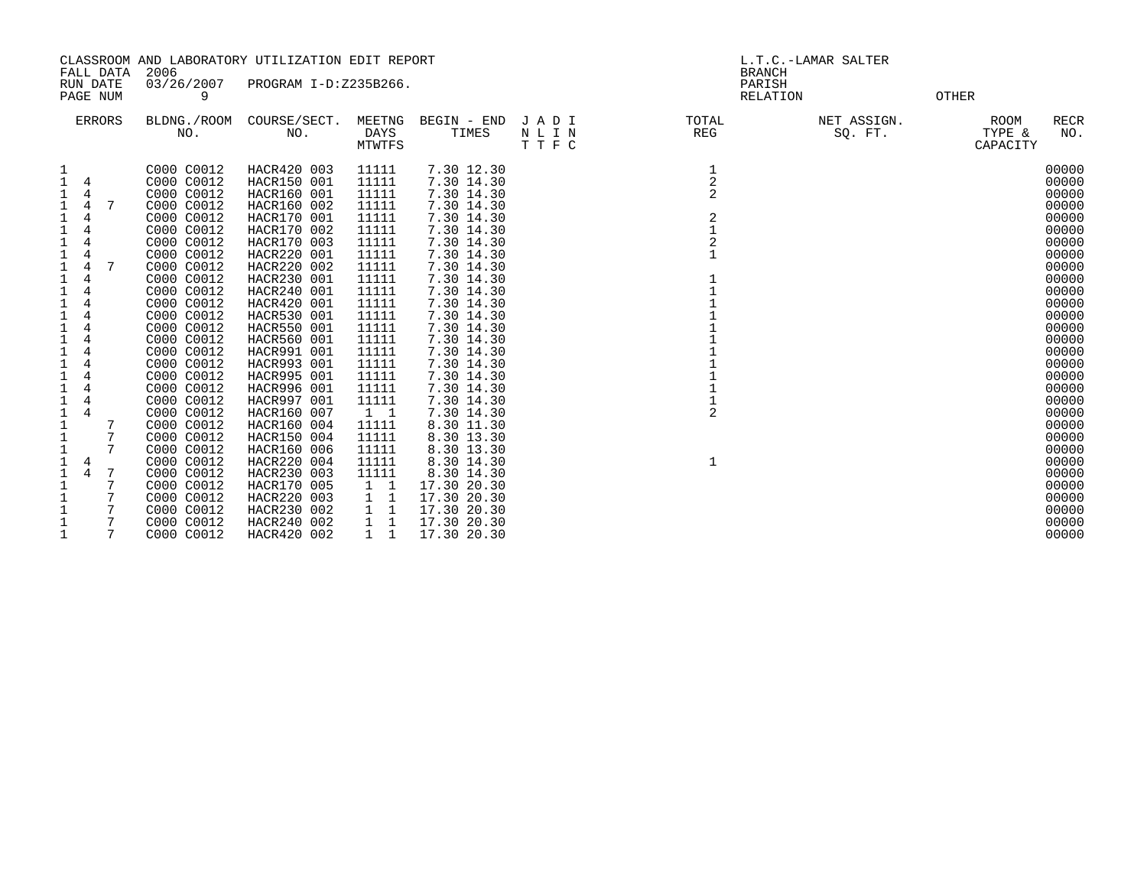|                                                                                                                                                                                                                                                                                                                                                                                                                                           |                                                                                                                                                                                                                                                                                                                                                                                                                    | CLASSROOM AND LABORATORY UTILIZATION EDIT REPORT                                                                                                                                                                                                                                                                                                                                                                                                |                                                                                                                                                                                                                                                                                     |                                                                                                                                                                                                                                                                                                                                                                                                                       | L.T.C.-LAMAR SALTER     |                                                                                                                                          |                        |                                                                                                                                                                                                                                                                   |  |
|-------------------------------------------------------------------------------------------------------------------------------------------------------------------------------------------------------------------------------------------------------------------------------------------------------------------------------------------------------------------------------------------------------------------------------------------|--------------------------------------------------------------------------------------------------------------------------------------------------------------------------------------------------------------------------------------------------------------------------------------------------------------------------------------------------------------------------------------------------------------------|-------------------------------------------------------------------------------------------------------------------------------------------------------------------------------------------------------------------------------------------------------------------------------------------------------------------------------------------------------------------------------------------------------------------------------------------------|-------------------------------------------------------------------------------------------------------------------------------------------------------------------------------------------------------------------------------------------------------------------------------------|-----------------------------------------------------------------------------------------------------------------------------------------------------------------------------------------------------------------------------------------------------------------------------------------------------------------------------------------------------------------------------------------------------------------------|-------------------------|------------------------------------------------------------------------------------------------------------------------------------------|------------------------|-------------------------------------------------------------------------------------------------------------------------------------------------------------------------------------------------------------------------------------------------------------------|--|
| FALL DATA<br>RUN DATE                                                                                                                                                                                                                                                                                                                                                                                                                     | 2006<br>03/26/2007                                                                                                                                                                                                                                                                                                                                                                                                 | PROGRAM I-D:Z235B266.                                                                                                                                                                                                                                                                                                                                                                                                                           |                                                                                                                                                                                                                                                                                     |                                                                                                                                                                                                                                                                                                                                                                                                                       |                         | <b>BRANCH</b><br>PARISH                                                                                                                  |                        |                                                                                                                                                                                                                                                                   |  |
| PAGE NUM                                                                                                                                                                                                                                                                                                                                                                                                                                  | 9                                                                                                                                                                                                                                                                                                                                                                                                                  |                                                                                                                                                                                                                                                                                                                                                                                                                                                 |                                                                                                                                                                                                                                                                                     |                                                                                                                                                                                                                                                                                                                                                                                                                       |                         | RELATION                                                                                                                                 |                        | <b>OTHER</b>                                                                                                                                                                                                                                                      |  |
| <b>ERRORS</b>                                                                                                                                                                                                                                                                                                                                                                                                                             | BLDNG./ROOM<br>NO.                                                                                                                                                                                                                                                                                                                                                                                                 | COURSE/SECT.<br>NO.                                                                                                                                                                                                                                                                                                                                                                                                                             | MEETNG<br><b>DAYS</b><br>MTWTFS                                                                                                                                                                                                                                                     | BEGIN - END<br>TIMES                                                                                                                                                                                                                                                                                                                                                                                                  | JADI<br>N L I N<br>TTFC | TOTAL<br><b>REG</b>                                                                                                                      | NET ASSIGN.<br>SQ. FT. | <b>RECR</b><br><b>ROOM</b><br>TYPE &<br>NO.<br>CAPACITY                                                                                                                                                                                                           |  |
| 1<br>$\mathbf{1}$<br>4<br>4<br>4<br>7<br>4<br>$\mathbf{1}$<br>4<br>$\mathbf 1$<br>4<br>$\mathbf 1$<br>4<br>$\mathbf 1$<br>7<br>4<br>$\mathbf 1$<br>1<br>4<br>1<br>4<br>4<br>1<br>4<br>$\mathbf{1}$<br>4<br>$\mathbf 1$<br>$\mathbf 1$<br>$\mathbf 1$<br>1<br>4<br>1<br>4<br>$\mathbf 1$<br>4<br>$1\,$<br>7<br>$\mathbf 1$<br>7<br>$\mathbf{1}$<br>7<br>$\mathbf 1$<br>4<br>$\mathbf 1$<br>7<br>4<br>$\mathbf{1}$<br>7<br>$\mathbf 1$<br>7 | C000 C0012<br>C000 C0012<br>C000 C0012<br>C000 C0012<br>C000 C0012<br>C000 C0012<br>C000 C0012<br>C000 C0012<br>C000 C0012<br>C000 C0012<br>C000 C0012<br>C000 C0012<br>C000 C0012<br>C000 C0012<br>C000 C0012<br>C000 C0012<br>C000 C0012<br>C000 C0012<br>C000 C0012<br>C000 C0012<br>C000 C0012<br>C000 C0012<br>C000 C0012<br>C000 C0012<br>C000 C0012<br>C000 C0012<br>C000 C0012<br>C000 C0012<br>C000 C0012 | HACR420 003<br>HACR150 001<br>HACR160 001<br>HACR160 002<br>HACR170 001<br>HACR170 002<br>HACR170 003<br>HACR220 001<br>HACR220 002<br>HACR230 001<br>HACR240 001<br>HACR420 001<br>HACR530 001<br>HACR550 001<br>HACR560 001<br>HACR991 001<br>HACR993 001<br>HACR995 001<br>HACR996 001<br>HACR997 001<br>HACR160 007<br>HACR160 004<br>HACR150 004<br>HACR160 006<br>HACR220 004<br>HACR230 003<br>HACR170 005<br>HACR220 003<br>HACR230 002 | 11111<br>11111<br>11111<br>11111<br>11111<br>11111<br>11111<br>11111<br>11111<br>11111<br>11111<br>11111<br>11111<br>11111<br>11111<br>11111<br>11111<br>11111<br>11111<br>11111<br>$1\quad1$<br>11111<br>11111<br>11111<br>11111<br>11111<br>1 1<br>$1\quad1$<br>1<br>$\mathbf{1}$ | 7.30 12.30<br>7.30 14.30<br>7.30 14.30<br>7.30 14.30<br>7.30 14.30<br>7.30 14.30<br>7.30 14.30<br>7.30 14.30<br>7.30 14.30<br>7.30 14.30<br>7.30 14.30<br>7.30 14.30<br>7.30 14.30<br>7.30 14.30<br>7.30 14.30<br>7.30 14.30<br>7.30 14.30<br>7.30 14.30<br>7.30 14.30<br>7.30 14.30<br>7.30 14.30<br>8.30 11.30<br>8.30 13.30<br>8.30 13.30<br>8.30 14.30<br>8.30 14.30<br>17.30 20.30<br>17.30 20.30<br>17.30 20.30 |                         | $\frac{1}{2}$<br>$\overline{2}$<br>$\overline{\mathbf{c}}$<br>$\mathbf{1}$<br>$\overline{2}$<br>$\mathbf{1}$<br>1<br>$\overline{2}$<br>1 |                        | 00000<br>00000<br>00000<br>00000<br>00000<br>00000<br>00000<br>00000<br>00000<br>00000<br>00000<br>00000<br>00000<br>00000<br>00000<br>00000<br>00000<br>00000<br>00000<br>00000<br>00000<br>00000<br>00000<br>00000<br>00000<br>00000<br>00000<br>00000<br>00000 |  |
| $\mathbf 1$<br>7<br>7                                                                                                                                                                                                                                                                                                                                                                                                                     | C000 C0012<br>C000 C0012                                                                                                                                                                                                                                                                                                                                                                                           | HACR240 002<br>HACR420 002                                                                                                                                                                                                                                                                                                                                                                                                                      | $\mathbf{1}$<br>$\mathbf{1}$<br>$\mathbf 1$                                                                                                                                                                                                                                         | 17.30 20.30<br>17.30 20.30                                                                                                                                                                                                                                                                                                                                                                                            |                         |                                                                                                                                          |                        | 00000<br>00000                                                                                                                                                                                                                                                    |  |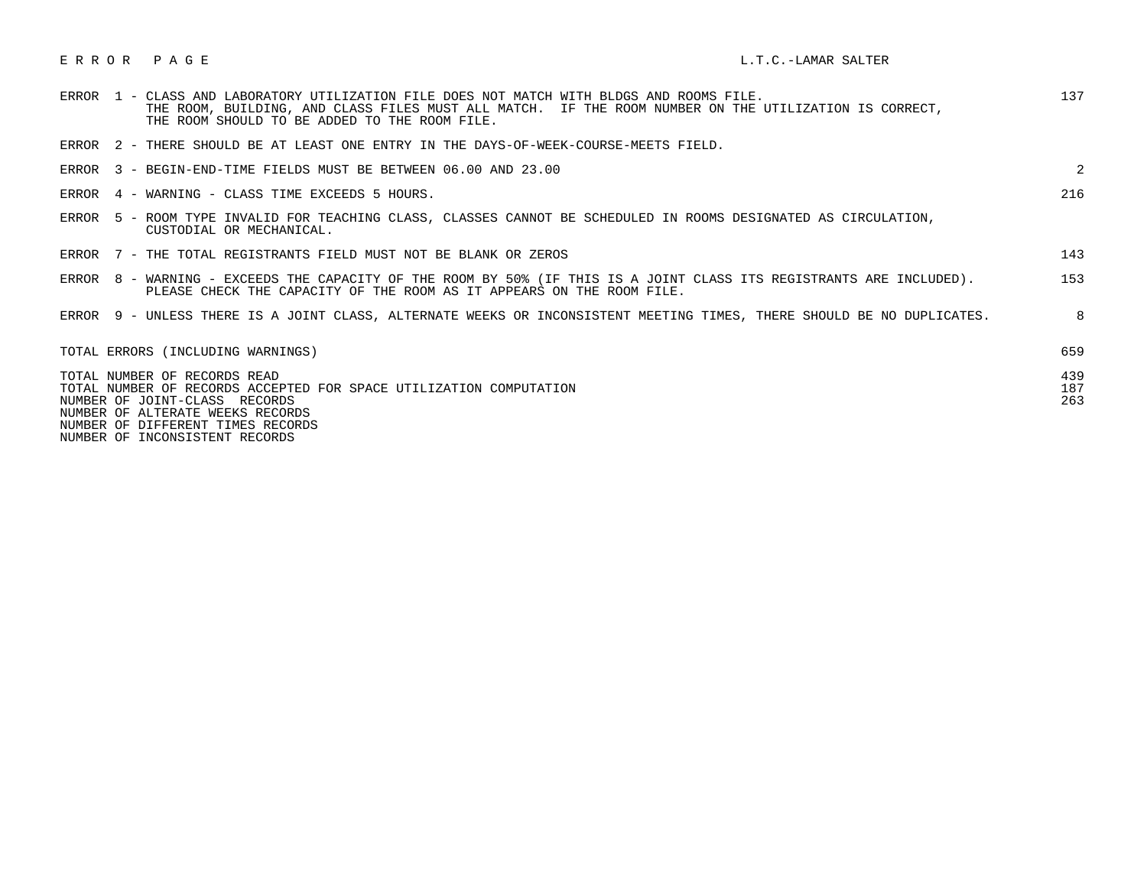| ERROR<br>PAGE |  |
|---------------|--|
|---------------|--|

| ERROR 1 - CLASS AND LABORATORY UTILIZATION FILE DOES NOT MATCH WITH BLDGS AND ROOMS FILE.<br>THE ROOM, BUILDING, AND CLASS FILES MUST ALL MATCH. IF THE ROOM NUMBER ON THE UTILIZATION IS CORRECT,<br>THE ROOM SHOULD TO BE ADDED TO THE ROOM FILE. | 137               |
|-----------------------------------------------------------------------------------------------------------------------------------------------------------------------------------------------------------------------------------------------------|-------------------|
| ERROR 2 - THERE SHOULD BE AT LEAST ONE ENTRY IN THE DAYS-OF-WEEK-COURSE-MEETS FIELD.                                                                                                                                                                |                   |
| ERROR 3 - BEGIN-END-TIME FIELDS MUST BE BETWEEN 06.00 AND 23.00                                                                                                                                                                                     | 2                 |
| ERROR 4 - WARNING - CLASS TIME EXCEEDS 5 HOURS.                                                                                                                                                                                                     | 216               |
| ERROR 5 - ROOM TYPE INVALID FOR TEACHING CLASS, CLASSES CANNOT BE SCHEDULED IN ROOMS DESIGNATED AS CIRCULATION,<br>CUSTODIAL OR MECHANICAL.                                                                                                         |                   |
| ERROR 7 - THE TOTAL REGISTRANTS FIELD MUST NOT BE BLANK OR ZEROS                                                                                                                                                                                    | 143               |
| 8 - WARNING - EXCEEDS THE CAPACITY OF THE ROOM BY 50% (IF THIS IS A JOINT CLASS ITS REGISTRANTS ARE INCLUDED).<br>ERROR<br>PLEASE CHECK THE CAPACITY OF THE ROOM AS IT APPEARS ON THE ROOM FILE.                                                    | 153               |
| ERROR 9 - UNLESS THERE IS A JOINT CLASS, ALTERNATE WEEKS OR INCONSISTENT MEETING TIMES, THERE SHOULD BE NO DUPLICATES.                                                                                                                              | 8                 |
| TOTAL ERRORS (INCLUDING WARNINGS)                                                                                                                                                                                                                   | 659               |
| TOTAL NUMBER OF RECORDS READ<br>TOTAL NUMBER OF RECORDS ACCEPTED FOR SPACE UTILIZATION COMPUTATION<br>NUMBER OF JOINT-CLASS RECORDS<br>NUMBER OF ALTERATE WEEKS RECORDS<br>NUMBER OF DIFFERENT TIMES RECORDS                                        | 439<br>187<br>263 |

NUMBER OF INCONSISTENT RECORDS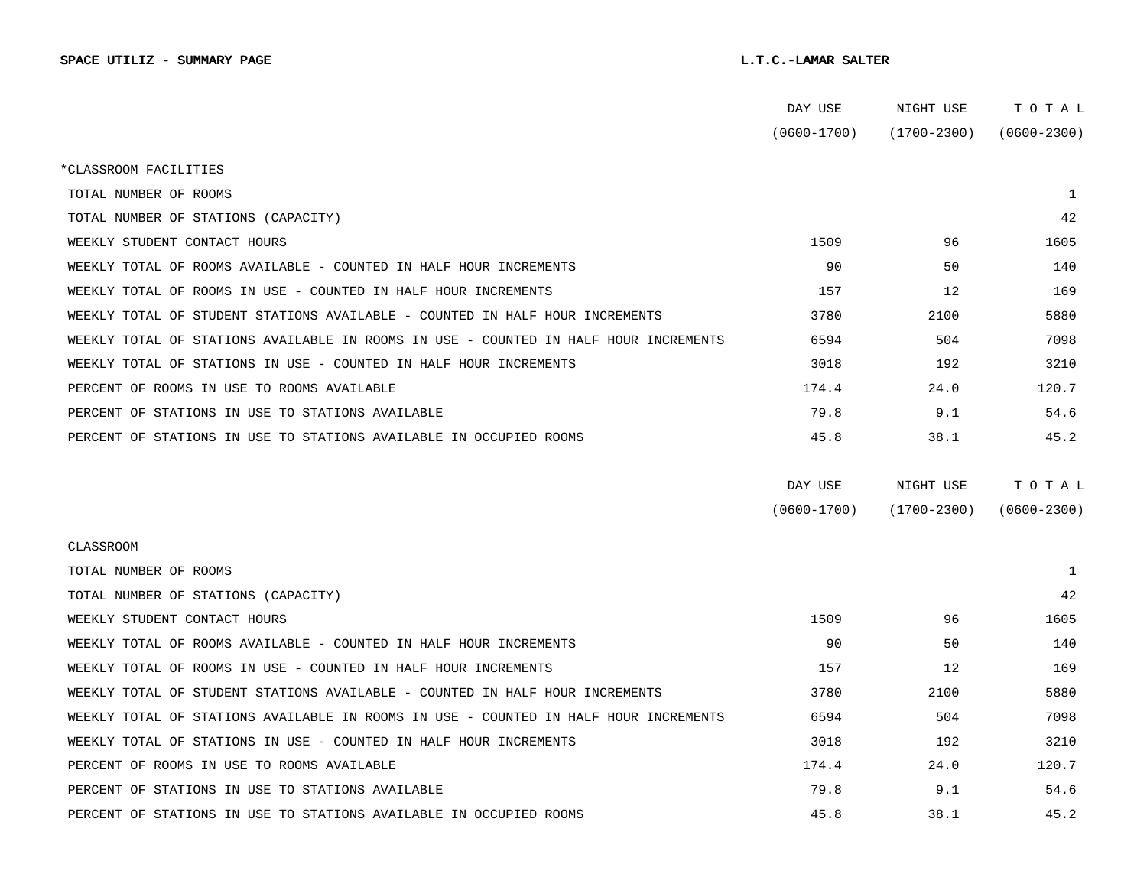|                                                                                      | DAY USE         | NIGHT USE       | тотаь           |
|--------------------------------------------------------------------------------------|-----------------|-----------------|-----------------|
|                                                                                      | $(0600 - 1700)$ | $(1700 - 2300)$ | $(0600 - 2300)$ |
| *CLASSROOM FACILITIES                                                                |                 |                 |                 |
| TOTAL NUMBER OF ROOMS                                                                |                 |                 | 1               |
| TOTAL NUMBER OF STATIONS (CAPACITY)                                                  |                 |                 | 42              |
| WEEKLY STUDENT CONTACT HOURS                                                         | 1509            | 96              | 1605            |
| WEEKLY TOTAL OF ROOMS AVAILABLE - COUNTED IN HALF HOUR INCREMENTS                    | 90              | 50              | 140             |
| WEEKLY TOTAL OF ROOMS IN USE - COUNTED IN HALF HOUR INCREMENTS                       | 157             | 12              | 169             |
| WEEKLY TOTAL OF STUDENT STATIONS AVAILABLE - COUNTED IN HALF HOUR INCREMENTS         | 3780            | 2100            | 5880            |
| WEEKLY TOTAL OF STATIONS AVAILABLE IN ROOMS IN USE - COUNTED IN HALF HOUR INCREMENTS | 6594            | 504             | 7098            |
| WEEKLY TOTAL OF STATIONS IN USE - COUNTED IN HALF HOUR INCREMENTS                    | 3018            | 192             | 3210            |
| PERCENT OF ROOMS IN USE TO ROOMS AVAILABLE                                           | 174.4           | 24.0            | 120.7           |
| PERCENT OF STATIONS IN USE TO STATIONS AVAILABLE                                     | 79.8            | 9.1             | 54.6            |
| PERCENT OF STATIONS IN USE TO STATIONS AVAILABLE IN OCCUPIED ROOMS                   | 45.8            | 38.1            | 45.2            |
|                                                                                      | DAY USE         | NIGHT USE       | TOTAL           |
|                                                                                      | $(0600 - 1700)$ | $(1700 - 2300)$ | $(0600 - 2300)$ |
|                                                                                      |                 |                 |                 |
| CLASSROOM                                                                            |                 |                 |                 |
| TOTAL NUMBER OF ROOMS                                                                |                 |                 | 1               |
| TOTAL NUMBER OF STATIONS (CAPACITY)                                                  |                 |                 | 42              |
| WEEKLY STUDENT CONTACT HOURS                                                         | 1509            | 96              | 1605            |
| WEEKLY TOTAL OF ROOMS AVAILABLE - COUNTED IN HALF HOUR INCREMENTS                    | 90              | 50              | 140             |
| WEEKLY TOTAL OF ROOMS IN USE - COUNTED IN HALF HOUR INCREMENTS                       | 157             | 12              | 169             |
| WEEKLY TOTAL OF STUDENT STATIONS AVAILABLE - COUNTED IN HALF HOUR INCREMENTS         | 3780            | 2100            | 5880            |
| WEEKLY TOTAL OF STATIONS AVAILABLE IN ROOMS IN USE - COUNTED IN HALF HOUR INCREMENTS | 6594            | 504             | 7098            |
| WEEKLY TOTAL OF STATIONS IN USE - COUNTED IN HALF HOUR INCREMENTS                    | 3018            | 192             | 3210            |
| PERCENT OF ROOMS IN USE TO ROOMS AVAILABLE                                           | 174.4           | 24.0            | 120.7           |
| PERCENT OF STATIONS IN USE TO STATIONS AVAILABLE                                     | 79.8            | 9.1             | 54.6            |
| PERCENT OF STATIONS IN USE TO STATIONS AVAILABLE IN OCCUPIED ROOMS                   | 45.8            | 38.1            | 45.2            |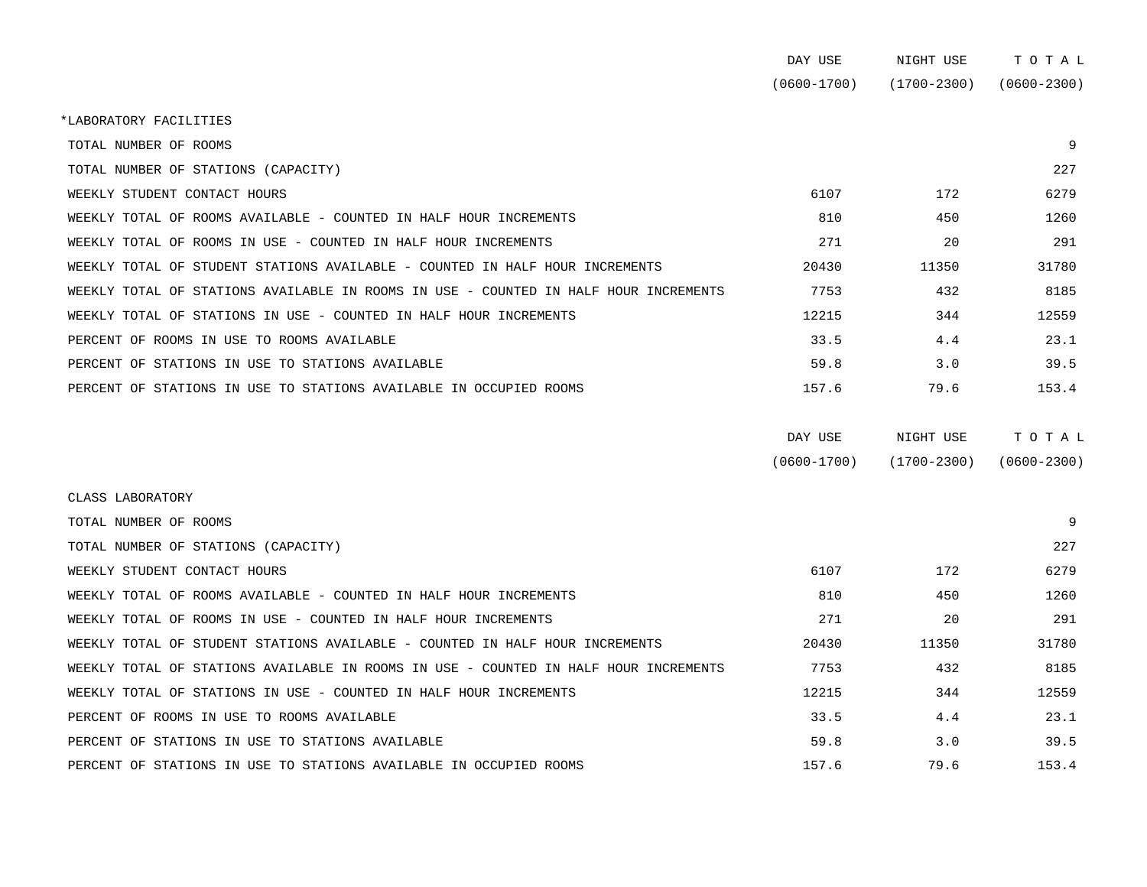|                                                                                      | DAY USE         | NIGHT USE       | TOTAL           |
|--------------------------------------------------------------------------------------|-----------------|-----------------|-----------------|
|                                                                                      | $(0600 - 1700)$ | $(1700 - 2300)$ | $(0600 - 2300)$ |
| *LABORATORY FACILITIES                                                               |                 |                 |                 |
| TOTAL NUMBER OF ROOMS                                                                |                 |                 | 9               |
| TOTAL NUMBER OF STATIONS (CAPACITY)                                                  |                 |                 | 227             |
| WEEKLY STUDENT CONTACT HOURS                                                         | 6107            | 172             | 6279            |
| WEEKLY TOTAL OF ROOMS AVAILABLE - COUNTED IN HALF HOUR INCREMENTS                    | 810             | 450             | 1260            |
| WEEKLY TOTAL OF ROOMS IN USE - COUNTED IN HALF HOUR INCREMENTS                       | 271             | 20              | 291             |
| WEEKLY TOTAL OF STUDENT STATIONS AVAILABLE - COUNTED IN HALF HOUR INCREMENTS         | 20430           | 11350           | 31780           |
| WEEKLY TOTAL OF STATIONS AVAILABLE IN ROOMS IN USE - COUNTED IN HALF HOUR INCREMENTS | 7753            | 432             | 8185            |
| WEEKLY TOTAL OF STATIONS IN USE - COUNTED IN HALF HOUR INCREMENTS                    | 12215           | 344             | 12559           |
| PERCENT OF ROOMS IN USE TO ROOMS AVAILABLE                                           | 33.5            | 4.4             | 23.1            |
| PERCENT OF STATIONS IN USE TO STATIONS AVAILABLE                                     | 59.8            | 3.0             | 39.5            |
| PERCENT OF STATIONS IN USE TO STATIONS AVAILABLE IN OCCUPIED ROOMS                   | 157.6           | 79.6            | 153.4           |
|                                                                                      | DAY USE         | NIGHT USE       | TOTAL           |
|                                                                                      | $(0600 - 1700)$ | $(1700 - 2300)$ | $(0600 - 2300)$ |
| CLASS LABORATORY                                                                     |                 |                 |                 |
| TOTAL NUMBER OF ROOMS                                                                |                 |                 | 9               |
| TOTAL NUMBER OF STATIONS (CAPACITY)                                                  |                 |                 | 227             |
| WEEKLY STUDENT CONTACT HOURS                                                         | 6107            | 172             | 6279            |
| WEEKLY TOTAL OF ROOMS AVAILABLE - COUNTED IN HALF HOUR INCREMENTS                    | 810             | 450             | 1260            |
| WEEKLY TOTAL OF ROOMS IN USE - COUNTED IN HALF HOUR INCREMENTS                       | 271             | 20              | 291             |
| WEEKLY TOTAL OF STUDENT STATIONS AVAILABLE - COUNTED IN HALF HOUR INCREMENTS         | 20430           | 11350           | 31780           |

WEEKLY TOTAL OF STATIONS AVAILABLE IN ROOMS IN USE - COUNTED IN HALF HOUR INCREMENTS 7753 432 432 WEEKLY TOTAL OF STATIONS IN USE - COUNTED IN HALF HOUR INCREMENTS 12215 12215 344 12559 PERCENT OF ROOMS IN USE TO ROOMS AVAILABLE **123.1** 33.5 4.4 23.1 PERCENT OF STATIONS IN USE TO STATIONS AVAILABLE **199.9** 59.8 59.8 3.0 39.5 PERCENT OF STATIONS IN USE TO STATIONS AVAILABLE IN OCCUPIED ROOMS 157.6 157.6 79.6 153.4